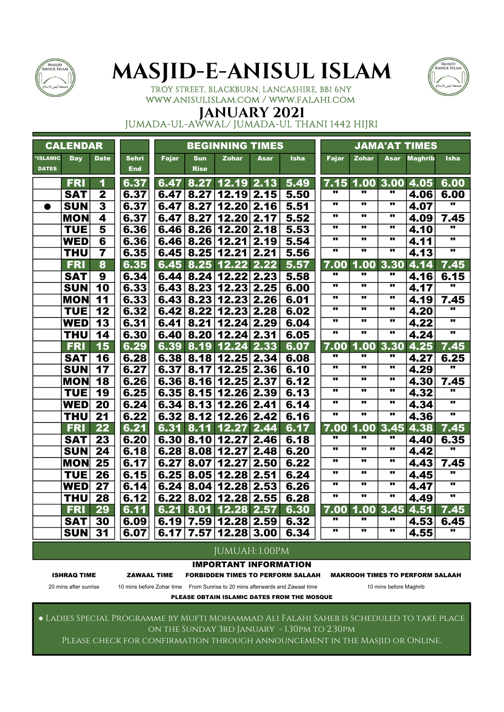



TROY STREET, BLACKBURN, LANCASHIRE, BB1 6NY www.anisulislam.com / www.falahi.com

## JANUARY 2021

JUMADA-UL-AWWAL/ JUMADA-UL THANI 1442 HIJRI

|                          | <b>CALENDAR</b> |                         |                            |       |                           | <b>BEGINNING TIMES</b>                |      |             |                             |                             |                                      | <b>JAMA'AT TIMES</b>  |                                 |
|--------------------------|-----------------|-------------------------|----------------------------|-------|---------------------------|---------------------------------------|------|-------------|-----------------------------|-----------------------------|--------------------------------------|-----------------------|---------------------------------|
| *ISLAMIC<br><b>DATES</b> | <b>Day</b>      | <b>Date</b>             | <b>Sehri</b><br><b>End</b> | Fajar | <b>Sun</b><br><b>Rise</b> | <b>Zohar</b>                          | Asar | <b>Isha</b> | <b>Fajar</b>                | <b>Zohar</b>                | <b>Asar</b>                          | <b>Maghrib</b>        | <b>Isha</b>                     |
|                          | <b>FRI</b>      | 1                       | 6.37                       |       | 6.47 8.27                 | 12.19                                 | 2.13 | 5.49        |                             |                             |                                      | $7.15$ 1.00 3.00 4.05 | 6.00                            |
|                          | <b>SAT</b>      | $\overline{2}$          | 6.37                       | 6.47  | 8.27                      | 12.19                                 | 2.15 | 5.50        |                             |                             | w                                    | 4.06                  | 6.00                            |
| $\bullet$                | <b>SUN</b>      | $\overline{\mathbf{3}}$ | 6.37                       | 6.47  | 8.27                      | 12.20                                 | 2.16 | 5.51        |                             |                             | $\bullet$                            | 4.07                  |                                 |
|                          | <b>MON</b>      | $\overline{\mathbf{A}}$ | 6.37                       | 6.47  | 8.27                      | 12.20                                 | 2.17 | 5.52        | $\bullet$                   | $\overline{\mathbf{u}}$     | $\overline{\mathbf{u}}$              | 4.09                  | 7.45                            |
|                          | <b>TUE</b>      | 5                       | 6.36                       | 6.46  | 8.26                      | 12.20                                 | 2.18 | 5.53        | w                           |                             | $\bullet$                            | 4.10                  | w                               |
|                          | <b>WED</b>      | $\overline{6}$          | 6.36                       | 6.46  | 8.26                      | 12.21                                 | 2.19 | 5.54        | .,                          |                             | $\bullet\bullet$                     | 4.11                  | $\bullet\bullet$                |
|                          | <b>THU</b>      | $\overline{7}$          | 6.35                       | 6.45  | 8.25                      | 12.21                                 | 2.21 | 5.56        | $\overline{\mathbf{u}}$     | ν.                          | $\bullet\bullet$                     | 4.13                  | $\overline{\mathbf{u}}$         |
|                          | <b>FRI</b>      | 8                       | 6.35                       | 6.45  | 8.25                      | 12.22                                 | 2.22 | 5.57        | 7.00                        | 1.00                        | 3.30                                 | 4.14                  | 7.45                            |
|                          | <b>SAT</b>      | 9                       | 6.34                       |       |                           | $6.44 \mid 8.24 \mid 12.22 \mid 2.23$ |      | 5.58        |                             |                             |                                      | 4.16                  | 6.15                            |
|                          | <b>SUN</b>      | 10                      | 6.33                       |       |                           | $6.43 \mid 8.23 \mid 12.23 \mid 2.25$ |      | 6.00        |                             |                             |                                      | 4.17                  | $\overline{\mathbf{u}}$         |
|                          | <b>MON</b>      | 11                      | 6.33                       | 6.43  | 8.23                      | 12.23                                 | 2.26 | 6.01        | $\bullet$                   |                             | $\bullet\bullet$                     | 4.19                  | 7.45                            |
|                          | <b>TUE</b>      | 12                      | 6.32                       | 6.42  | 8.22                      | 12.23                                 | 2.28 | 6.02        |                             |                             | $\bullet\bullet$                     | 4.20                  | .,                              |
|                          | <b>WED</b>      | 13                      | 6.31                       | 6.41  | 8.21                      | 12.24                                 | 2.29 | 6.04        |                             |                             |                                      | 4.22                  | $\overline{\mathbf{u}}$         |
|                          | <b>THU</b>      | 14                      | 6.30                       | 6.40  | 8.20                      | 12.24                                 | 2.31 | 6.05        |                             |                             | $\bullet\bullet$                     | 4.24                  | $\bullet\bullet$                |
|                          | <b>FRI</b>      | 15                      | 6.29                       | 6.39  | 8.19                      | 12.24                                 | 2.33 | 6.07        | 7.00<br>w                   |                             | 1.00 3.30                            | 4.25                  | 7.45                            |
|                          | <b>SAT</b>      | 16                      | 6.28                       |       |                           | $6.38 \mid 8.18 \mid 12.25 \mid 2.34$ |      | 6.08        |                             |                             | w                                    | 4.27                  | 6.25                            |
|                          | <b>SUN</b>      | 17                      | 6.27                       | 6.37  | 8.17                      | 12.25                                 | 2.36 | 6.10        |                             | <br>                        |                                      | 4.29                  | $\overline{\mathbf{u}}$         |
|                          | <b>MON</b>      | 18                      | 6.26                       | 6.36  | 8.16                      | 12.25                                 | 2.37 | 6.12        |                             |                             | $\bullet$                            | 4.30                  | 7.45<br>$\overline{\mathbf{u}}$ |
|                          | <b>TUE</b>      | 19                      | 6.25                       | 6.35  | 8.15                      | 12.26                                 | 2.39 | 6.13        | $\bullet$                   |                             |                                      | 4.32                  |                                 |
|                          | <b>WED</b>      | 20                      | 6.24                       |       |                           | $6.34 \mid 8.13 \mid 12.26 \mid 2.41$ |      | 6.14        | <br>$\overline{\mathbf{u}}$ | <br>$\overline{\mathbf{u}}$ | $\bullet$<br>$\overline{\mathbf{u}}$ | 4.34                  | $\overline{\phantom{a}}$        |
|                          | <b>THU</b>      | 21                      | 6.22                       |       |                           | $6.32 \mid 8.12 \mid 12.26 \mid 2.42$ |      | 6.16        |                             |                             |                                      | 4.36                  |                                 |
|                          | <b>FRI</b>      | 22                      | 6.21                       |       | 6.31 8.11                 | 12.27                                 | 2.44 | 6.17        | 7.00<br>w                   |                             | 1.00 3.45<br>$\bullet\bullet$        | 4.38                  | 7.45                            |
|                          | <b>SAT</b>      | 23                      | 6.20                       |       | 6.30   8.10               | 12.27                                 | 2.46 | 6.18        |                             |                             | $\bullet\bullet$                     | 4.40                  | 6.35<br>$\overline{\mathbf{u}}$ |
|                          | <b>SUN</b>      | 24                      | 6.18                       | 6.28  | 8.08                      | 12.27                                 | 2.48 | 6.20        | $\overline{\mathbf{u}}$     | $\overline{\mathbf{u}}$     | $\overline{\mathbf{u}}$              | 4.42                  |                                 |
|                          | <b>MON</b>      | 25                      | 6.17                       | 6.27  | 8.07                      | 12.27                                 | 2.50 | 6.22        | w                           | π.                          | $\bullet$                            | 4.43                  | 7.45<br>w                       |
|                          | <b>TUE</b>      | 26                      | 6.15                       | 6.25  | 8.05                      | 12.28                                 | 2.51 | 6.24        | $\overline{\mathbf{u}}$     |                             |                                      | 4.45                  | $\overline{\mathbf{u}}$         |
|                          | <b>WED</b>      | 27                      | 6.14                       |       |                           | $6.24 \mid 8.04 \mid 12.28 \mid 2.53$ |      | 6.26        | $\overline{\mathbf{u}}$     | $\overline{\mathbf{u}}$     | $\overline{\mathbf{u}}$              | 4.47                  | $\overline{\mathbf{u}}$         |
|                          | <b>THU</b>      | $\overline{28}$         | 6.12                       | 6.22  | 8.02                      | 12.28                                 | 2.55 | 6.28        |                             |                             |                                      | 4.49                  |                                 |
|                          | <b>FRI</b>      | 29                      | 6.11                       | 6.21  | 8.01                      | 12.28                                 | 2.57 | 6.30        | 7.00<br>w                   | 1.00<br>                    | 3.45                                 | 4.51                  | 7.45                            |
|                          | <b>SAT</b>      | 30                      | 6.09                       | 6.19  | 7.59                      | 12.28 2.59                            |      | 6.32        | w                           | w                           | $\bullet$                            | 4.53                  | 6.45<br>w                       |
|                          | <b>SUN</b>      | 31                      | 6.07                       | 6.17  | 7.57                      | $12.28$ 3.00                          |      | 6.34        |                             |                             |                                      | 4.55                  |                                 |

### JUMUAH: 1.00PM

IMPORTANT INFORMATION

ISHRAQ TIME ZAWAAL TIME FORBIDDEN TIMES TO PERFORM SALAAH MAKROOH TIMES TO PERFORM SALAAH

20 mins after sunrise 10 mins before Zohar time From Sunrise to 20 mins afterwards and Zawaal time 10 mins before Maghrib PLEASE OBTAIN ISLAMIC DATES FROM THE MOSQUE

● Ladies Special Programme by Mufti Mohammad Ali Falahi Saheb is scheduled to take place on the Sunday 3rd January - 1.30pm to 2.30pm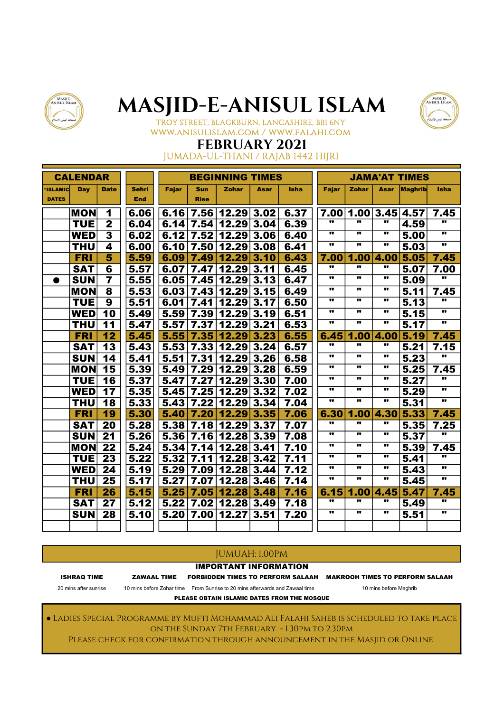



TROY STREET, BLACKBURN, LANCASHIRE, BB1 6NY www.anisulislam.com / www.falahi.com

## FEBRUARY 2021

## JUMADA-UL-THANI / RAJAB 1442 HIJRI

|                | <b>CALENDAR</b> |                 |              |       |             | <b>BEGINNING TIMES</b> |      |             |                         |                         |                  | <b>JAMA'AT TIMES</b> |                         |
|----------------|-----------------|-----------------|--------------|-------|-------------|------------------------|------|-------------|-------------------------|-------------------------|------------------|----------------------|-------------------------|
| <b>ISLAMIC</b> | Day             | <b>Date</b>     | <b>Sehri</b> | Fajar | <b>Sun</b>  | <b>Zohar</b>           | Asar | <b>Isha</b> | <b>Fajar</b>            | <b>Zohar</b>            | Asar             | <b>Maghrib</b>       | <b>Isha</b>             |
| <b>DATES</b>   |                 |                 | <b>End</b>   |       | <b>Rise</b> |                        |      |             |                         |                         |                  |                      |                         |
|                | <b>MON</b>      | 1               | 6.06         |       |             | $6.16$ 7.56 12.29 3.02 |      | 6.37        |                         | 7.00 1.00 3.45 4.57     |                  |                      | 7.45                    |
|                | <b>TUE</b>      | $\mathbf{2}$    | 6.04         |       | 6.14   7.54 | 12.29                  | 3.04 | 6.39        |                         |                         |                  | 4.59                 |                         |
|                | <b>WED</b>      | 3               | 6.02         |       |             | $6.12$ 7.52 12.29      | 3.06 | 6.40        |                         | $\bullet$               |                  | 5.00                 |                         |
|                | <b>THU</b>      | 4               | 6.00         | 6.10  | 7.50        | 12.29                  | 3.08 | 6.41        | $\bullet$               | $\bullet$               |                  | 5.03                 | π.                      |
|                | <b>FRI</b>      | 5               | 5.59         | 6.09  | 7.49        | 12.29                  | 3.10 | 6.43        | 7.00                    | 1.00                    | 4.00             | 5.05                 | 7.45                    |
|                | <b>SAT</b>      | 6               | 5.57         | 6.07  | 7.47        | 12.29                  | 3.11 | 6.45        | .,                      |                         | .,               | 5.07                 | 7.00                    |
| ●              | <b>SUN</b>      | $\overline{7}$  | 5.55         |       | 6.05 7.45   | 12.29                  | 3.13 | 6.47        |                         |                         |                  | 5.09                 | w                       |
|                | <b>MON</b>      | 8               | 5.53         | 6.03  | 7.43        | 12.29                  | 3.15 | 6.49        | .,                      |                         | .,               | 5.11                 | 7.45                    |
|                | <b>TUE</b>      | 9               | 5.51         | 6.01  | 7.41        | 12.29                  | 3.17 | 6.50        | .,                      |                         |                  | 5.13                 |                         |
|                | <b>WED</b>      | 10              | 5.49         |       | $5.59$ 7.39 | 12.29                  | 3.19 | 6.51        |                         |                         |                  | 5.15                 | $\overline{\mathbf{u}}$ |
|                | <b>THU</b>      | 11              | 5.47         | 5.57  | 7.37        | 12.29                  | 3.21 | 6.53        |                         |                         |                  | 5.17                 | π.                      |
|                | <b>FRI</b>      | 12              | 5.45         | 5.55  | 7.35        | 12.29                  | 3.23 | 6.55        | 6.45                    | 1.00                    | 4.00             | 15.19                | 7.45                    |
|                | <b>SAT</b>      | 13              | 5.43         | 5.53  | 7.33        | 12.29                  | 3.24 | 6.57        | w                       |                         | .,               | 5.21                 | 7.15                    |
|                | <b>SUN</b>      | 14              | 5.41         | 5.51  | 7.31        | 12.29                  | 3.26 | 6.58        | $\overline{\mathbf{u}}$ | $\overline{\mathbf{u}}$ |                  | 5.23                 | w                       |
|                | <b>MON</b>      | 15              | 5.39         | 5.49  | 7.29        | 12.29                  | 3.28 | 6.59        |                         | $\overline{\mathbf{u}}$ |                  | 5.25                 | 7.45                    |
|                | <b>TUE</b>      | 16              | 5.37         | 5.47  | 7.27        | 12.29                  | 3.30 | 7.00        |                         |                         |                  | 5.27                 |                         |
|                | <b>WED</b>      | 17              | 5.35         | 5.45  | 7.25        | 12.29                  | 3.32 | 7.02        |                         | $\bullet$               |                  | 3.29                 |                         |
|                | <b>THU</b>      | 18              | 5.33         | 5.43  | 7.22        | 12.29                  | 3.34 | 7.04        | .,                      |                         | $\bullet$        | 5.31                 | $\bullet$               |
|                | <b>FRI</b>      | 19              | 5.30         | 5.40  | 7.20        | 12.29                  | 3.35 | 7.06        | 6.30                    | 1.00                    | 4.30             | 5.33                 | 7.45                    |
|                | <b>SAT</b>      | 20              | 5.28         | 5.38  | 7.18        | 12.29                  | 3.37 | 7.07        |                         |                         |                  | 5.35                 | 7.25                    |
|                | <b>SUN</b>      | 21              | 5.26         | 5.36  | 7.16        | 12.28                  | 3.39 | 7.08        |                         |                         | $\bullet\bullet$ | 5.37                 |                         |
|                | <b>MON</b>      | 22              | 5.24         |       |             | 5.34   7.14   12.28    | 3.41 | 7.10        |                         |                         | .,               | 5.39                 | 7.45                    |
|                | <b>TUE</b>      | $\overline{23}$ | 5.22         | 5.32  | 7.11        | 12.28                  | 3.42 | 7.11        |                         |                         |                  | 5.41                 |                         |
|                | <b>WED</b>      | $\overline{24}$ | 5.19         | 5.29  | 7.09        | 12.28                  | 3.44 | 7.12        | $\overline{\mathbf{u}}$ | $\overline{\mathbf{u}}$ |                  | 5.43                 | $\overline{\mathbf{u}}$ |
|                | <b>THU</b>      | 25              | 5.17         | 5.27  | 7.07        | 12.28                  | 3.46 | 7.14        | .,                      |                         | .,               | 5.45                 | .,                      |
|                | <b>FRI</b>      | 26              | 5.15         | 5.25  | 7.05        | 12.28                  | 3.48 | 7.16        | 6.15                    | 1.00                    |                  | 4.45 5.47            | 7.45                    |
|                | <b>SAT</b>      | 27              | 5.12         | 5.22  | 7.02        | 12.28                  | 3.49 | 7.18        |                         |                         |                  | 5.49                 |                         |
|                | <b>SUN</b>      | 28              | 5.10         | 5.20  | 7.00        | 12.27                  | 3.51 | 7.20        | $\overline{\mathbf{u}}$ | $\overline{\mathbf{u}}$ |                  | 5.51                 | $\overline{\mathbf{u}}$ |
|                |                 |                 |              |       |             |                        |      |             |                         |                         |                  |                      |                         |

#### JUMUAH: 1.00PM

#### IMPORTANT INFORMATION

ISHRAQ TIME ZAWAAL TIME FORBIDDEN TIMES TO PERFORM SALAAH MAKROOH TIMES TO PERFORM SALAAH

20 mins after sunrise 10 mins before Zohar time From Sunrise to 20 mins afterwards and Zawaal time 10 mins before Maghrib

PLEASE OBTAIN ISLAMIC DATES FROM THE MOSQUE

● Ladies Special Programme by Mufti Mohammad Ali Falahi Saheb is scheduled to take place on the Sunday 7th February - 1.30pm to 2.30pm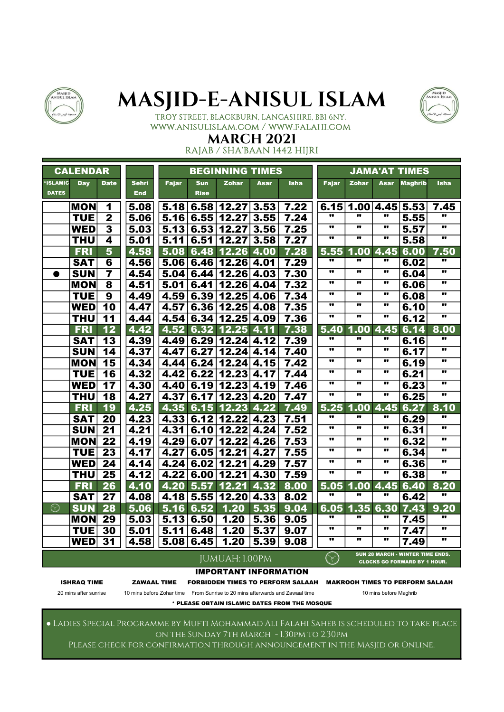



#### TROY STREET, BLACKBURN, LANCASHIRE, BB1 6NY. www.anisulislam.com / www.falahi.com

#### MARCH 2021 RAJAB / SHA'BAAN 1442 HIJRI

|                          | <b>CALENDAR</b> |                         |                            |              |                           | <b>BEGINNING TIMES</b>       |      |             |                         |                         |                         | <b>JAMA'AT TIMES</b>                                                           |                         |
|--------------------------|-----------------|-------------------------|----------------------------|--------------|---------------------------|------------------------------|------|-------------|-------------------------|-------------------------|-------------------------|--------------------------------------------------------------------------------|-------------------------|
| *ISLAMIC<br><b>DATES</b> | <b>Day</b>      | <b>Date</b>             | <b>Sehri</b><br><b>End</b> | <b>Fajar</b> | <b>Sun</b><br><b>Rise</b> | <b>Zohar</b>                 | Asar | <b>Isha</b> | <b>Fajar</b>            | <b>Zohar</b>            | Asar                    | <b>Maghrib</b>                                                                 | <b>Isha</b>             |
|                          | <b>MON</b>      | 1                       | 5.08                       | 5.18         | 6.58                      | 12.27                        | 3.53 | 7.22        | 6.15                    | 1.00                    | 4.45 5.53               |                                                                                | 7.45                    |
|                          | <b>TUE</b>      | $\overline{\mathbf{2}}$ | 5.06                       | 5.16         | 6.55                      | 12.27                        | 3.55 | 7.24        | w                       |                         | 11                      | 5.55                                                                           |                         |
|                          | <b>WED</b>      | $\overline{\mathbf{3}}$ | 5.03                       | 5.13         | 6.53                      | 12.27                        | 3.56 | 7.25        | $\bullet$               |                         | .,                      | 5.57                                                                           |                         |
|                          | <b>THU</b>      | 4                       | 5.01                       | 5.11         | 6.51                      | 12.27                        | 3.58 | 7.27        | $\overline{\mathbf{u}}$ | $\overline{\mathbf{u}}$ | $\overline{\mathbf{u}}$ | 5.58                                                                           | $\overline{\mathbf{u}}$ |
|                          | <b>FRI</b>      | $\overline{\mathbf{5}}$ | 4.58                       | 5.08         | 6.48                      | 12.26                        | 4.00 | 7.28        | 5.55                    | 1.00                    | 4.45                    | 6.00                                                                           | 7.50                    |
|                          | <b>SAT</b>      | 6                       | 4.56                       | 5.06         | 6.46                      | 12.26                        | 4.01 | 7.29        | w                       | .,                      | $\bullet$               | 6.02                                                                           |                         |
| $\bullet$                | <b>SUN</b>      | $\overline{7}$          | 4.54                       | 5.04         | 6.44                      | 12.26                        | 4.03 | 7.30        | .,                      |                         |                         | 6.04                                                                           |                         |
|                          | <b>MON</b>      | 8                       | 4.51                       | 5.01         | 6.41                      | 12.26                        | 4.04 | 7.32        |                         |                         |                         | 6.06                                                                           |                         |
|                          | <b>TUE</b>      | $\overline{9}$          | 4.49                       | 4.59         | 6.39                      | 12.25                        | 4.06 | 7.34        | $\overline{\mathbf{u}}$ | $\overline{\mathbf{u}}$ | $\overline{\mathbf{u}}$ | 6.08                                                                           | $\overline{\mathbf{u}}$ |
|                          | <b>WED</b>      | $\overline{10}$         | 4.47                       | 4.57         | 6.36                      | 12.25                        | 4.08 | 7.35        |                         |                         | $\bullet\bullet$        | 6.10                                                                           | $\overline{\mathbf{u}}$ |
|                          | <b>THU</b>      | 11                      | 4.44                       | 4.54         | 6.34                      | 12.25                        | 4.09 | 7.36        | π.                      |                         | π.                      | 6.12                                                                           | $\overline{\mathbf{u}}$ |
|                          | <b>FRI</b>      | 12                      | 4.42                       | 4.52         | 6.32                      | 12.25                        | 4.11 | 7.38        | 5.40                    | 1.00                    | 4.45                    | 6.14                                                                           | 8.00                    |
|                          | <b>SAT</b>      | 13                      | 4.39                       | 4.49         | 6.29                      | 12.24                        | 4.12 | 7.39        |                         |                         | .,                      | 6.16                                                                           |                         |
|                          | <b>SUN</b>      | 14                      | 4.37                       | 4.47         | 6.27                      | 12.24                        | 4.14 | 7.40        | $\overline{\mathbf{u}}$ | $\overline{\mathbf{u}}$ | $\overline{\mathbf{u}}$ | 6.17                                                                           | $\overline{\mathbf{u}}$ |
|                          | <b>MON</b>      | 15                      | 4.34                       | 4.44         | 6.24                      | 12.24                        | 4.15 | 7.42        | $\bullet\bullet$        |                         |                         | 6.19                                                                           |                         |
|                          | <b>TUE</b>      | 16                      | 4.32                       | 4.42         | 6.22                      | 12.23                        | 4.17 | 7.44        | w                       | .,                      |                         | 6.21                                                                           |                         |
|                          | <b>WED</b>      | 17                      | 4.30                       | 4.40         | 6.19                      | 12.23                        | 4.19 | 7.46        | $\bullet$               | $\bullet$               | $\bullet\bullet$        | 6.23                                                                           |                         |
|                          | <b>THU</b>      | $\overline{18}$         | 4.27                       | 4.37         | 6.17                      | 12.23                        | 4.20 | 7.47        | $\overline{\mathbf{u}}$ | $\overline{\mathbf{u}}$ | $\overline{\mathbf{u}}$ | 6.25                                                                           | $\overline{\mathbf{u}}$ |
|                          | <b>FRI</b>      | 19                      | 4.25                       | 4.35         | 6.15                      | 12.23                        | 4.22 | 7.49        | 5.25                    | 1.00                    | 4.45                    | 6.27                                                                           | 8.10                    |
|                          | <b>SAT</b>      | 20                      | 4.23                       | 4.33         | 6.12                      | 12.22                        | 4.23 | 7.51        | π.                      |                         |                         | 6.29                                                                           |                         |
|                          | <b>SUN</b>      | 21                      | 4.21                       | 4.31         | 6.10                      | 12.22                        | 4.24 | 7.52        | w                       |                         |                         | 6.31                                                                           |                         |
|                          | <b>MON</b>      | 22                      | 4.19                       | 4.29         | 6.07                      | 12.22                        | 4.26 | 7.53        | .,                      | .,                      | $\bullet\bullet$        | 6.32                                                                           | .,                      |
|                          | <b>TUE</b>      | $\overline{23}$         | 4.17                       | 4.27         | 6.05                      | 12.21                        | 4.27 | 7.55        | $\overline{\mathbf{u}}$ |                         | $\overline{\mathbf{u}}$ | 6.34                                                                           | w                       |
|                          | <b>WED</b>      | 24                      | 4.14                       | 4.24         | 6.02                      | 12.21                        | 4.29 | 7.57        | .,                      | .,                      | $\bullet\bullet$        | 6.36                                                                           |                         |
|                          | <b>THU</b>      | 25                      | 4.12                       | 4.22         | 6.00                      | 12.21                        | 4.30 | 7.59        | .,                      | .,                      |                         | 6.38                                                                           |                         |
|                          | <b>FRI</b>      | 26                      | 4.10                       |              | 4.20 5.57                 | 12.21                        | 4.32 | 8.00        | 5.05                    | 1.00                    | 4.45                    | 6.40                                                                           | 8.20                    |
|                          | <b>SAT</b>      | 27                      | 4.08                       |              | 4.18 5.55                 | 12.20                        | 4.33 | 8.02        | $\overline{\mathbf{u}}$ | w                       | w                       | 6.42                                                                           | w                       |
| $\odot$                  | <b>SUN</b>      | 28                      | 5.06                       |              | 5.16 6.52                 | 1.20                         | 5.35 | 9.04        | 6.05                    | 1.35                    | 6.30                    | 7.43                                                                           | 9.20                    |
|                          | <b>MON</b>      | 29                      | 5.03                       |              | 5.13 6.50                 | 1.20                         | 5.36 | 9.05        | $\overline{\mathbf{u}}$ |                         | w                       | 7.45                                                                           |                         |
|                          | <b>TUE</b>      | 30                      | 5.01                       | 5.11         | 6.48                      | 1.20                         | 5.37 | 9.07        | w                       |                         | $\bullet$               | 7.47                                                                           |                         |
|                          | <b>WED</b>      | 31                      | 4.58                       | 5.08         | 6.45                      | 1.20                         | 5.39 | 9.08        | π                       | .,                      | w                       | 7.49                                                                           | .,                      |
|                          |                 |                         |                            |              |                           | JUMUAH: 1.00PM               |      |             | $(\leq)$                |                         |                         | <b>SUN 28 MARCH - WINTER TIME ENDS.</b><br><b>CLOCKS GO FORWARD BY 1 HOUR.</b> |                         |
|                          |                 |                         |                            |              |                           | <b>IMPORTANT INFORMATION</b> |      |             |                         |                         |                         |                                                                                |                         |

ISHRAQ TIME ZAWAAL TIME FORBIDDEN TIMES TO PERFORM SALAAH MAKROOH TIMES TO PERFORM SALAAH

20 mins after sunrise 10 mins before Zohar time From Sunrise to 20 mins afterwards and Zawaal time 10 mins before Maghrib

\* PLEASE OBTAIN ISLAMIC DATES FROM THE MOSQUE

● Ladies Special Programme by Mufti Mohammad Ali Falahi Saheb is scheduled to take place on the Sunday 7th March - 1.30pm to 2.30pm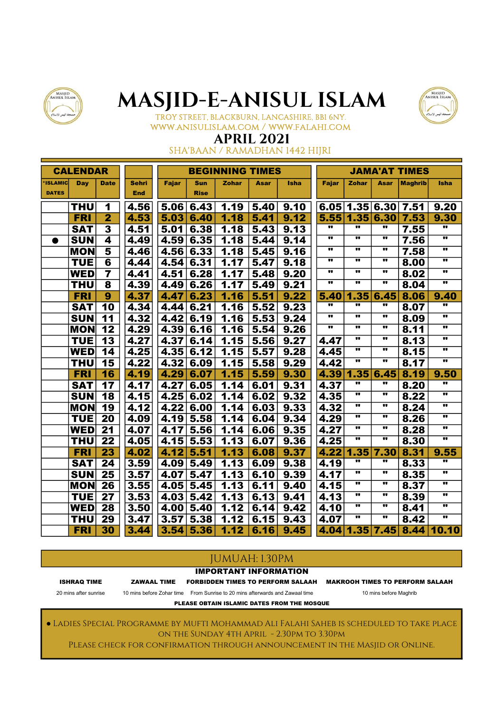



### TROY STREET, BLACKBURN, LANCASHIRE, BB1 6NY. www.anisulislam.com / www.falahi.com

### APRIL 2021

SHA'BAAN / RAMADHAN 1442 HIJRI

|                 | <b>CALENDAR</b> |                          |              |              |             | <b>BEGINNING TIMES</b> |             |             |                         |                         |                         | <b>JAMA'AT TIMES</b> |                         |
|-----------------|-----------------|--------------------------|--------------|--------------|-------------|------------------------|-------------|-------------|-------------------------|-------------------------|-------------------------|----------------------|-------------------------|
| <b>'ISLAMIC</b> | Day             | <b>Date</b>              | <b>Sehri</b> | <b>Fajar</b> | <b>Sun</b>  | <b>Zohar</b>           | <b>Asar</b> | <b>Isha</b> | <b>Fajar</b>            | Zohar                   | Asar                    | <b>Maghrib</b>       | <b>Isha</b>             |
| <b>DATES</b>    |                 |                          | <b>End</b>   |              | <b>Rise</b> |                        |             |             |                         |                         |                         |                      |                         |
|                 | THU             | 1                        | 4.56         | 5.06         | 6.43        | 1.19                   | 5.40        | 9.10        | 6.05                    |                         | 1.35 6.30               | 7.51                 | 9.20                    |
|                 | <b>FRI</b>      | $\overline{2}$           | 4.53         | 5.03         | 6.40        | 1.18                   | 5.41        | 9.12        |                         | 5.55 1.35               | 6.30                    | 7.53                 | 9.30                    |
|                 | <b>SAT</b>      | $\overline{\mathbf{3}}$  | 4.51         | 5.01         | 6.38        | 1.18                   | 5.43        | 9.13        | w                       | π.                      | π                       | 7.55                 | w                       |
| $\bullet$       | <b>SUN</b>      | 4                        | 4.49         | 4.59         | 6.35        | 1.18                   | 5.44        | 9.14        | ν.                      | .,                      |                         | 7.56                 | .,                      |
|                 | <b>MON</b>      | 5                        | 4.46         | 4.56         | 6.33        | 1.18                   | 5.45        | 9.16        | .,                      | .,                      | ν.                      | 7.58                 |                         |
|                 | <b>TUE</b>      | $6\phantom{a}$           | 4.44         | 4.54         | 6.31        | 1.17                   | 5.47        | 9.18        | $\bullet$               |                         | $\bullet\bullet$        | 8.00                 | π.                      |
|                 | <b>WED</b>      | 7                        | 4.41         | 4.51         | 6.28        | 1.17                   | 5.48        | 9.20        | w                       | .,                      |                         | 8.02                 | .,                      |
|                 | <b>THU</b>      | 8                        | 4.39         | 4.49         | 6.26        | 1.17                   | 5.49        | 9.21        | w                       |                         |                         | 8.04                 |                         |
|                 | <b>FRI</b>      | 9                        | 4.37         | 4.47         | 6.23        | 1.16                   | 5.51        | 9.22        | 5.40                    | 1.35                    | 6.45                    | 8.06                 | 9.40                    |
|                 | <b>SAT</b>      | 10                       | 4.34         | 4.44         | 6.21        | 1.16                   | 5.52        | 9.23        | w                       |                         | w                       | 8.07                 | w                       |
|                 | <b>SUN</b>      | $\overline{11}$          | 4.32         | 4.42         | 6.19        | 1.16                   | 5.53        | 9.24        | $\overline{\mathbf{u}}$ | .,                      |                         | 8.09                 | .,                      |
|                 | <b>MON</b>      | 12                       | 4.29         | 4.39         | 6.16        | 1.16                   | 5.54        | 9.26        | ν.                      | .,                      |                         | 8.11                 | π.                      |
|                 | <b>TUE</b>      | 13                       | 4.27         | 4.37         | 6.14        | 1.15                   | 5.56        | 9.27        | 4.47                    | .,                      | ν.                      | 8.13                 |                         |
|                 | <b>WED</b>      | 14                       | 4.25         | 4.35         | 6.12        | 1.15                   | 5.57        | 9.28        | 4.45                    | w                       |                         | 8.15                 | w                       |
|                 | <b>THU</b>      | $\overline{\mathbf{15}}$ | 4.22         | 4.32         | 6.09        | 1.15                   | 5.58        | 9.29        | 4.42                    | w                       | $\overline{\mathbf{u}}$ | 8.17                 | w                       |
|                 | <b>FRI</b>      | 16                       | 4.19         | 4.29         | 6.07        | 1.15                   | 5.59        | 9.30        | 4.39                    | 1.35                    | 6.45                    | 8.19                 | 9.50                    |
|                 | <b>SAT</b>      | 17                       | 4.17         | 4.27         | 6.05        | 1.14                   | 6.01        | 9.31        | 4.37                    | π.                      | .,                      | 8.20                 | .,                      |
|                 | <b>SUN</b>      | 18                       | 4.15         | 4.25         | 6.02        | 1.14                   | 6.02        | 9.32        | 4.35                    | π.                      | $\bullet$               | 8.22                 | π.                      |
|                 | <b>MON</b>      | $\overline{19}$          | 4.12         | 4.22         | 6.00        | 1.14                   | 6.03        | 9.33        | 4.32                    | .,                      |                         | 8.24                 | w                       |
|                 | <b>TUE</b>      | $\overline{20}$          | 4.09         | 4.19         | 5.58        | 1.14                   | 6.04        | 9.34        | 4.29                    | w                       |                         | 8.26                 | $\overline{\mathbf{u}}$ |
|                 | <b>WED</b>      | 21                       | 4.07         | 4.17         | 5.56        | 1.14                   | 6.06        | 9.35        | 4.27                    | .,                      | ν.                      | 8.28                 |                         |
|                 | <b>THU</b>      | $\overline{22}$          | 4.05         | 4.15         | 5.53        | 1.13                   | 6.07        | 9.36        | 4.25                    | w                       | w                       | 8.30                 | $\overline{\mathbf{u}}$ |
|                 | <b>FRI</b>      | 23                       | 4.02         | 4.12         | 5.51        | 1.13                   | 6.08        | 9.37        | 4.22                    | 1.35                    | 7.30                    | 8.31                 | 9.55                    |
|                 | <b>SAT</b>      | 24                       | 3.59         | 4.09         | 5.49        | 1.13                   | 6.09        | 9.38        | 4.19                    |                         | .,                      | 8.33                 |                         |
|                 | <b>SUN</b>      | 25                       | 3.57         | 4.07         | 5.47        | 1.13                   | 6.10        | 9.39        | 4.17                    | $\overline{\mathbf{u}}$ |                         | 8.35                 | $\overline{\mathbf{u}}$ |
|                 | <b>MON</b>      | 26                       | 3.55         | 4.05         | 5.45        | 1.13                   | 6.11        | 9.40        | 4.15                    |                         | $\bullet$               | 8.37                 |                         |
|                 | <b>TUE</b>      | 27                       | 3.53         | 4.03         | 5.42        | 1.13                   | 6.13        | 9.41        | 4.13                    | ν.                      |                         | 8.39                 | π.                      |
|                 | <b>WED</b>      | 28                       | 3.50         | 4.00         | 5.40        | 1.12                   | 6.14        | 9.42        | 4.10                    |                         | w                       | 8.41                 |                         |
|                 | <b>THU</b>      | 29                       | 3.47         | 3.57         | 5.38        | 1.12                   | 6.15        | 9.43        | 4.07                    | π                       | π                       | 8.42                 | w                       |
|                 | <b>FRI</b>      | $\overline{30}$          | 3.44         | 3.54         | 5.36        | 1.12                   | 6.16        | 9.45        |                         | 4.04 1.35               | 7.45                    |                      | 8.44 10.10              |

### JUMUAH: 1.30PM

IMPORTANT INFORMATION

ISHRAQ TIME ZAWAAL TIME FORBIDDEN TIMES TO PERFORM SALAAH MAKROOH TIMES TO PERFORM SALAAH

20 mins after sunrise 10 mins before Zohar time From Sunrise to 20 mins afterwards and Zawaal time 10 mins before Maghrib

PLEASE OBTAIN ISLAMIC DATES FROM THE MOSQUE

● Ladies Special Programme by Mufti Mohammad Ali Falahi Saheb is scheduled to take place on the Sunday 4th April - 2.30pm to 3.30pm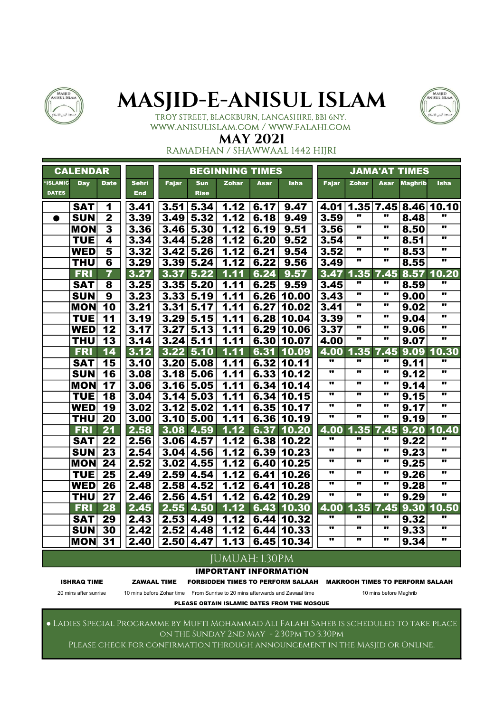



### TROY STREET, BLACKBURN, LANCASHIRE, BB1 6NY. www.anisulislam.com / www.falahi.com

### MAY 2021

RAMADHAN / SHAWWAAL 1442 HIJRI

|              | <b>CALENDAR</b> |                         |              |              |                  | <b>BEGINNING TIMES</b> |      |             |       |                         |                         | <b>JAMA'AT TIMES</b> |                         |
|--------------|-----------------|-------------------------|--------------|--------------|------------------|------------------------|------|-------------|-------|-------------------------|-------------------------|----------------------|-------------------------|
| *ISLAMIC     | <b>Day</b>      | <b>Date</b>             | <b>Sehri</b> | <b>Fajar</b> | <b>Sun</b>       | <b>Zohar</b>           | Asar | <b>Isha</b> | Fajar | <b>Zohar</b>            | Asar                    | <b>Maghrib</b>       | <b>Isha</b>             |
| <b>DATES</b> |                 |                         | <b>End</b>   |              | <b>Rise</b>      |                        |      |             |       |                         |                         |                      |                         |
|              | <b>SAT</b>      | 1                       | 3.41         | 3.51         | 5.34             | 1.12                   | 6.17 | 9.47        | 4.01  | 1.35                    |                         |                      | 7.45 8.46 10.10         |
| ●            | <b>SUN</b>      | $\overline{2}$          | 3.39         |              | $3.49 \mid 5.32$ | 1.12                   | 6.18 | 9.49        | 3.59  | 11                      | w                       | 8.48                 |                         |
|              | <b>MON</b>      | $\overline{\mathbf{3}}$ | 3.36         |              | $3.46 \mid 5.30$ | 1.12                   | 6.19 | 9.51        | 3.56  | $\overline{\mathbf{u}}$ | $\overline{\mathbf{u}}$ | 8.50                 | π                       |
|              | <b>TUE</b>      | 4                       | 3.34         | 3.44         | 5.28             | 1.12                   | 6.20 | 9.52        | 3.54  |                         |                         | 8.51                 | ν.                      |
|              | <b>WED</b>      | 5                       | 3.32         |              | 3.42 5.26        | 1.12                   | 6.21 | 9.54        | 3.52  |                         | $\bullet$               | 8.53                 | π.                      |
|              | <b>THU</b>      | $6\phantom{1}6$         | 3.29         | 3.39         | 5.24             | 1.12                   | 6.22 | 9.56        | 3.49  | π                       | $\bullet\bullet$        | 8.55                 | $\overline{\mathbf{u}}$ |
|              | <b>FRI</b>      | $\overline{\mathbf{7}}$ | 3.27         | 3.37         | 5.22             | 1.11                   | 6.24 | 9.57        | 3.47  | 1.35                    | 7.45                    | 8.57                 | 10.20                   |
|              | <b>SAT</b>      | 8                       | 3.25         |              | 3.35 5.20        | 1.11                   | 6.25 | 9.59        | 3.45  |                         | 11                      | 8.59                 |                         |
|              | <b>SUN</b>      | $\overline{9}$          | 3.23         |              | 3.33 5.19        | 1.11                   | 6.26 | 10.00       | 3.43  | π                       | $\bullet\bullet$        | 9.00                 | π                       |
|              | <b>MON</b>      | 10                      | 3.21         |              | 3.31   5.17      | 1.11                   | 6.27 | 10.02       | 3.41  | $\overline{\mathbf{u}}$ | $\overline{\mathbf{u}}$ | 9.02                 | π                       |
|              | <b>TUE</b>      | 11                      | 3.19         |              | $3.29$ 5.15      | 1.11                   | 6.28 | 10.04       | 3.39  | $\overline{\mathbf{u}}$ | π                       | 9.04                 | π                       |
|              | <b>WED</b>      | 12                      | 3.17         | 3.27         | 5.13             | 1.11                   | 6.29 | 10.06       | 3.37  | π.                      | $\bullet$               | 9.06                 | π.                      |
|              | <b>THU</b>      | $\overline{13}$         | 3.14         |              | $3.24 \mid 5.11$ | 1.11                   | 6.30 | 10.07       | 4.00  | w                       | w                       | 9.07                 | υ.                      |
|              | <b>FRI</b>      | 14                      | 3.12         |              | $3.22$ 5.10      | 1.11                   | 6.31 | 10.09       | 4.00  | 1.35                    | 7.45                    | 9.09                 | 10.30                   |
|              | <b>SAT</b>      | 15                      | 3.10         |              | 3.20 5.08        | 1.11                   | 6.32 | 10.11       | π     | .,                      | .,                      | 9.11                 | w                       |
|              | <b>SUN</b>      | 16                      | 3.08         |              | $3.18$ 5.06      | 1.11                   | 6.33 | 10.12       | .,    |                         |                         | 9.12                 | $\overline{\mathbf{u}}$ |
|              | <b>MON</b>      | 17                      | 3.06         |              | 3.16 5.05        | 1.11                   | 6.34 | 10.14       | w     |                         |                         | 9.14                 | $\overline{\mathbf{u}}$ |
|              | <b>TUE</b>      | 18                      | 3.04         |              | 3.14 5.03        | 1.11                   | 6.34 | 10.15       | .,    | $\overline{\mathbf{u}}$ |                         | 9.15                 | π                       |
|              | <b>WED</b>      | 19                      | 3.02         | 3.12         | 5.02             | 1.11                   | 6.35 | 10.17       | w     | $\overline{\mathbf{u}}$ | $\bullet$               | 9.17                 | π                       |
|              | <b>THU</b>      | $\overline{20}$         | 3.00         | 3.10         | 5.00             | 1.11                   | 6.36 | 10.19       | w     | $\overline{\mathbf{u}}$ | $\overline{\mathbf{u}}$ | 9.19                 | π                       |
|              | <b>FRI</b>      | 21                      | 2.58         |              | 3.08 4.59        | 1.12                   | 6.37 | 10.20       | 4.00  | 1.35                    | 7.45                    | 9.20                 | 10.40                   |
|              | <b>SAT</b>      | 22                      | 2.56         |              | 3.06 4.57        | 1.12                   |      | 6.38 10.22  | π.    | 11                      | .,                      | 9.22                 | w                       |
|              | <b>SUN</b>      | 23                      | 2.54         |              | $3.04 \mid 4.56$ | 1.12                   | 6.39 | 10.23       | π     | $\bullet\bullet$        | $\bullet\bullet$        | 9.23                 | $\bullet\bullet$        |
|              | <b>MON</b>      | 24                      | 2.52         |              | $3.02$ 4.55      | 1.12                   | 6.40 | 10.25       | w     | $\overline{\mathbf{u}}$ | w                       | 9.25                 | w                       |
|              | <b>TUE</b>      | 25                      | 2.49         |              | $2.59$ 4.54      | 1.12                   | 6.41 | 10.26       | π     | $\overline{\mathbf{u}}$ | $\overline{\mathbf{u}}$ | 9.26                 | π                       |
|              | <b>WED</b>      | 26                      | 2.48         | 2.58         | 4.52             | 1.12                   | 6.41 | 10.28       | π.    | $\bullet\bullet$        | $\bullet$               | 9.28                 | ν.                      |
|              | <b>THU</b>      | $\overline{27}$         | 2.46         |              | 2.56 4.51        | 1.12                   | 6.42 | 10.29       | w     |                         | w                       | 9.29                 | π.                      |
|              | <b>FRI</b>      | 28                      | 2.45         | 2.55         | 4.50             | 1.12                   | 6.43 | 10.30       | 4.00  | 1.35                    | 7.45                    | 9.30                 | 10.50                   |
|              | <b>SAT</b>      | 29                      | 2.43         |              | $2.53 \mid 4.49$ | 1.12                   | 6.44 | 10.32       |       |                         |                         | 9.32                 | π.                      |
|              | <b>SUN</b>      | $\overline{30}$         | 2.42         | 2.52         | 4.48             | 1.12                   | 6.44 | 10.33       | π     | $\overline{\mathbf{u}}$ | $\overline{\mathbf{u}}$ | 9.33                 | $\overline{\mathbf{u}}$ |
|              | <b>MON</b>      | $\overline{31}$         | 2.40         | 2.50         | 4.47             | 1.13                   | 6.45 | 10.34       | w     | w                       | $\overline{\mathbf{u}}$ | 9.34                 | $\overline{\mathbf{u}}$ |
|              |                 |                         |              |              |                  | <b>JUMUAH: 1.30PM</b>  |      |             |       |                         |                         |                      |                         |

#### IMPORTANT INFORMATION

ISHRAQ TIME ZAWAAL TIME FORBIDDEN TIMES TO PERFORM SALAAH MAKROOH TIMES TO PERFORM SALAAH

20 mins after sunrise 10 mins before Zohar time From Sunrise to 20 mins afterwards and Zawaal time 10 mins before Maghrib

PLEASE OBTAIN ISLAMIC DATES FROM THE MOSQUE

● Ladies Special Programme by Mufti Mohammad Ali Falahi Saheb is scheduled to take place on the Sunday 2nd May - 2.30pm to 3.30pm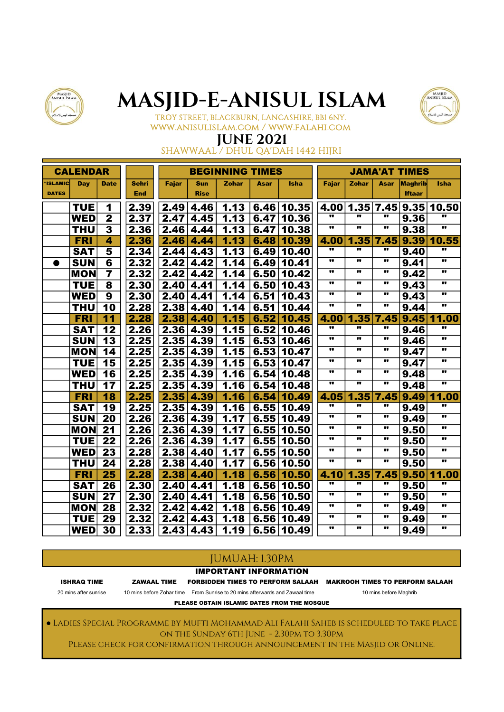



TROY STREET, BLACKBURN, LANCASHIRE, BB1 6NY. www.anisulislam.com / www.falahi.com

## JUNE 2021

SHAWWAAL / DHUL QA'DAH 1442 HIJRI

|                | <b>CALENDAR</b> |                         |              |              |             | <b>BEGINNING TIMES</b> |      |             |                         |                         |                         | <b>JAMA'AT TIMES</b> |              |
|----------------|-----------------|-------------------------|--------------|--------------|-------------|------------------------|------|-------------|-------------------------|-------------------------|-------------------------|----------------------|--------------|
| <b>ISLAMIC</b> | Day             | <b>Date</b>             | <b>Sehri</b> | <b>Fajar</b> | <b>Sun</b>  | <b>Zohar</b>           | Asar | <b>Isha</b> | <b>Fajar</b>            | <b>Zohar</b>            | Asar                    | Maghrib              | <b>Isha</b>  |
| <b>DATES</b>   |                 |                         | <b>End</b>   |              | <b>Rise</b> |                        |      |             |                         |                         |                         | <b>Iftaar</b>        |              |
|                | <b>TUE</b>      | 1                       | 2.39         | 2.49         | 4.46        | 1.13                   | 6.46 | 10.35       | 4.00                    | 1.35                    | 7.45                    |                      | 9.35 10.50   |
|                | <b>WED</b>      | $\mathbf 2$             | 2.37         | 2.47         | 4.45        | 1.13                   | 6.47 | 10.36       |                         |                         |                         | 9.36                 |              |
|                | <b>THU</b>      | $\overline{\mathbf{3}}$ | 2.36         | 2.46         | 4.44        | 1.13                   | 6.47 | 10.38       | $\overline{\mathbf{u}}$ | $\overline{\mathbf{u}}$ | $\overline{\mathbf{u}}$ | 9.38                 | w            |
|                | <b>FRI</b>      | 4                       | 2.36         | 2.46         | 4.44        | 1.13                   | 6.48 | 10.39       | 4.00                    | 1.35                    | 7.45                    | 9.39                 | 10.55        |
|                | <b>SAT</b>      | 5                       | 2.34         | 2.44         | 4.43        | 1.13                   | 6.49 | 10.40       |                         |                         | 11                      | 9.40                 |              |
| $\bullet$      | <b>SUN</b>      | 6                       | 2.32         | 2.42         | 4.42        | 1.14                   | 6.49 | 10.41       |                         | $\overline{\mathbf{u}}$ | .,                      | 9.41                 | w            |
|                | <b>MON</b>      | $\overline{\mathbf{7}}$ | 2.32         | 2.42         | 4.42        | 1.14                   | 6.50 | 10.42       |                         |                         |                         | 9.42                 | .,           |
|                | <b>TUE</b>      | 8                       | 2.30         | 2.40         | 4.41        | 1.14                   | 6.50 | 10.43       |                         | $\bullet\bullet$        |                         | 9.43                 |              |
|                | <b>WED</b>      | 9                       | 2.30         | 2.40         | 4.41        | 1.14                   | 6.51 | 10.43       |                         |                         | π                       | 9.43                 | .,           |
|                | <b>THU</b>      | $\overline{10}$         | 2.28         | 2.38         | 4.40        | 1.14                   | 6.51 | 10.44       | w                       | $\bullet$               | w                       | 9.44                 | w            |
|                | <b>FRI</b>      | $\overline{11}$         | 2.28         | 2.38         | 4.40        | 1.15                   | 6.52 | 10.45       | 4.00                    | 1.35                    | 7.45                    |                      | $9.45$ 11.00 |
|                | <b>SAT</b>      | 12                      | 2.26         | 2.36         | 4.39        | 1.15                   | 6.52 | 10.46       |                         | $\overline{\mathbf{u}}$ | π                       | 9.46                 |              |
|                | <b>SUN</b>      | 13                      | 2.25         | 2.35         | 4.39        | 1.15                   | 6.53 | 10.46       |                         | $\overline{\mathbf{u}}$ | $\blacksquare$          | 9.46                 | π.           |
|                | <b>MON</b>      | 14                      | 2.25         | 2.35         | 4.39        | 1.15                   | 6.53 | 10.47       |                         | $\overline{\mathbf{u}}$ |                         | 9.47                 |              |
|                | <b>TUE</b>      | 15                      | 2.25         | 2.35         | 4.39        | 1.15                   | 6.53 | 10.47       | .,                      | $\bullet\bullet$        |                         | 9.47                 | .,           |
|                | <b>WED</b>      | 16                      | 2.25         | 2.35         | 4.39        | 1.16                   | 6.54 | 10.48       |                         | $\bullet\bullet$        |                         | 9.48                 |              |
|                | <b>THU</b>      | 17                      | 2.25         | 2.35         | 4.39        | 1.16                   | 6.54 | 10.48       |                         | $\bullet$               | π.                      | 9.48                 |              |
|                | <b>FRI</b>      | 18                      | 2.25         | 2.35         | 4.39        | 1.16                   | 6.54 | 10.49       | 4.05                    | 1.35                    | 7.45                    | 9.49                 | 11.00        |
|                | <b>SAT</b>      | $\overline{19}$         | 2.25         | 2.35         | 4.39        | 1.16                   | 6.55 | 10.49       | .,                      | .,                      | 11                      | 9.49                 |              |
|                | <b>SUN</b>      | 20                      | 2.26         | 2.36         | 4.39        | 1.17                   | 6.55 | 10.49       |                         | $\bullet\bullet$        |                         | 9.49                 | π            |
|                | <b>MON</b>      | $\overline{21}$         | 2.26         | 2.36         | 4.39        | 1.17                   | 6.55 | 10.50       |                         |                         |                         | 9.50                 | .,           |
|                | <b>TUE</b>      | 22                      | 2.26         | 2.36         | 4.39        | 1.17                   | 6.55 | 10.50       |                         |                         |                         | 9.50                 |              |
|                | <b>WED</b>      | 23                      | 2.28         | 2.38         | 4.40        | 1.17                   | 6.55 | 10.50       | .,                      |                         |                         | 9.50                 | .,           |
|                | <b>THU</b>      | 24                      | 2.28         | 2.38         | 4.40        | 1.17                   | 6.56 | 10.50       |                         |                         |                         | 9.50                 |              |
|                | <b>FRI</b>      | 25                      | 2.28         | 2.38         | 4.40        | 1.18                   | 6.56 | 10.50       | 4.10                    | 1.35                    | 7.45                    | 9.50                 | 11.00        |
|                | <b>SAT</b>      | 26                      | 2.30         | 2.40         | 4.41        | 1.18                   | 6.56 | 10.50       | $\overline{\mathbf{u}}$ | $\overline{\mathbf{u}}$ | $\overline{\mathbf{u}}$ | 9.50                 | w            |
|                | <b>SUN</b>      | 27                      | 2.30         | 2.40         | 4.41        | 1.18                   | 6.56 | 10.50       | .,                      | $\bullet\bullet$        |                         | 9.50                 | ν.           |
|                | <b>MON</b>      | 28                      | 2.32         | 2.42         | 4.42        | 1.18                   | 6.56 | 10.49       |                         | $\bullet\bullet$        | .,                      | 9.49                 |              |
|                | <b>TUE</b>      | 29                      | 2.32         | 2.42         | 4.43        | 1.18                   | 6.56 | 10.49       | .,                      | $\bullet\bullet$        | .,                      | 9.49                 | .,           |
|                | <b>WED</b>      | $\overline{30}$         | 2.33         | 2.43         | 4.43        | 1.19                   | 6.56 | 10.49       | .,                      |                         | .,                      | 9.49                 | π.           |

### JUMUAH: 1.30PM

IMPORTANT INFORMATION

ISHRAQ TIME ZAWAAL TIME FORBIDDEN TIMES TO PERFORM SALAAH MAKROOH TIMES TO PERFORM SALAAH

20 mins after sunrise 10 mins before Zohar time From Sunrise to 20 mins afterwards and Zawaal time 10 mins before Maghrib

PLEASE OBTAIN ISLAMIC DATES FROM THE MOSQUE

● Ladies Special Programme by Mufti Mohammad Ali Falahi Saheb is scheduled to take place on the Sunday 6th June - 2.30pm to 3.30pm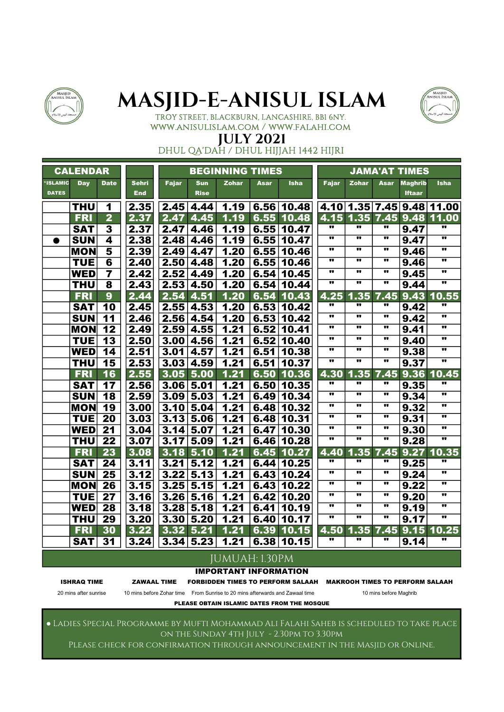



### TROY STREET, BLACKBURN, LANCASHIRE, BB1 6NY. www.anisulislam.com / www.falahi.com

### JULY 2021

DHUL QA'DAH / DHUL HIJJAH 1442 HIJRI

|                                 | <b>CALENDAR</b> |                          |              |              |                  | <b>BEGINNING TIMES</b>       |      |             |                         |                         |                         | <b>JAMA'AT TIMES</b> |                           |
|---------------------------------|-----------------|--------------------------|--------------|--------------|------------------|------------------------------|------|-------------|-------------------------|-------------------------|-------------------------|----------------------|---------------------------|
| <b>'ISLAMIC</b><br><b>DATES</b> | <b>Day</b>      | <b>Date</b>              | <b>Sehri</b> | <b>Fajar</b> | <b>Sun</b>       | <b>Zohar</b>                 | Asar | <b>Isha</b> | <b>Fajar</b>            | <b>Zohar</b>            | <b>Asar</b>             | <b>Maghrib</b>       | <b>Isha</b>               |
|                                 |                 |                          | <b>End</b>   |              | <b>Rise</b>      |                              |      |             |                         |                         |                         | <b>Iftaar</b>        |                           |
|                                 | <b>THU</b>      | 1                        | 2.35         |              | $2.45 \mid 4.44$ | 1.19                         |      | 6.56 10.48  |                         |                         |                         |                      | 4.10 1.35 7.45 9.48 11.00 |
|                                 | <b>FRI</b>      | $\overline{\mathbf{2}}$  | 2.37         | 2.47         | 4.45             | 1.19                         | 6.55 | 10.48       |                         | 4.15 1.35               | 7.45                    | 9.48                 | 11.00                     |
|                                 | <b>SAT</b>      | 3                        | 2.37         | 2.47         | 4.46             | 1.19                         | 6.55 | 10.47       | w                       | $\overline{\mathbf{u}}$ | "                       | 9.47                 | w                         |
| ●                               | <b>SUN</b>      | 4                        | 2.38         | 2.48         | 4.46             | 1.19                         | 6.55 | 10.47       | $\overline{\mathbf{u}}$ | .,                      | $\bullet\bullet$        | 9.47                 | w                         |
|                                 | <b>MON</b>      | $\overline{\mathbf{5}}$  | 2.39         | 2.49         | 4.47             | 1.20                         | 6.55 | 10.46       | $\overline{\mathbf{u}}$ | .,                      | $\bullet$               | 9.46                 | w                         |
|                                 | <b>TUE</b>      | $6\phantom{1}6$          | 2.40         | 2.50         | 4.48             | 1.20                         | 6.55 | 10.46       | $\bullet$               | $\bullet$               | $\bullet\bullet$        | 9.46                 | .,                        |
|                                 | <b>WED</b>      | $\overline{\mathbf{7}}$  | 2.42         | 2.52         | 4.49             | 1.20                         | 6.54 | 10.45       | .,                      |                         | $\bullet\bullet$        | 9.45                 | π.                        |
|                                 | <b>THU</b>      | $\overline{\mathbf{8}}$  | 2.43         | 2.53         | 4.50             | 1.20                         | 6.54 | 10.44       | $\overline{\mathbf{u}}$ | $\overline{\mathbf{u}}$ | $\overline{\mathbf{u}}$ | 9.44                 | w                         |
|                                 | <b>FRI</b>      | $\overline{9}$           | 2.44         | 2.54         | 4.51             | 1.20                         | 6.54 | 10.43       | 4.25                    | 1.35                    | 7.45                    | 9.43                 | 10.55                     |
|                                 | <b>SAT</b>      | 10                       | 2.45         |              | 2.55 4.53        | 1.20                         | 6.53 | 10.42       | π.                      |                         | .,                      | 9.42                 | w                         |
|                                 | <b>SUN</b>      | $\overline{11}$          | 2.46         |              | $2.56$ 4.54      | 1.20                         | 6.53 | 10.42       | $\overline{\mathbf{u}}$ |                         | $\bullet\bullet$        | 9.42                 | $\overline{\mathbf{u}}$   |
|                                 | <b>MON</b>      | $\overline{12}$          | 2.49         | 2.59         | 4.55             | 1.21                         | 6.52 | 10.41       | $\overline{\mathbf{u}}$ | $\overline{\mathbf{u}}$ | $\bullet$               | 9.41                 | π                         |
|                                 | <b>TUE</b>      | $\overline{13}$          | 2.50         | 3.00         | 4.56             | 1.21                         | 6.52 | 10.40       |                         |                         | $\bullet\bullet$        | 9.40                 | $\overline{\mathbf{u}}$   |
|                                 | <b>WED</b>      | 14                       | 2.51         | 3.01         | 4.57             | 1.21                         | 6.51 | 10.38       | w                       |                         | π                       | 9.38                 | π                         |
|                                 | <b>THU</b>      | $\overline{\mathbf{15}}$ | 2.53         |              | $3.03$ 4.59      | 1.21                         | 6.51 | 10.37       | w                       | $\overline{\mathbf{u}}$ | w                       | 9.37                 | π                         |
|                                 | <b>FRI</b>      | 16                       | 2.55         |              | $3.05$ $5.00$    | 1.21                         | 6.50 | 10.36       | 4.30                    | .35<br>1                | 7.45                    | 9.36                 | 10.45                     |
|                                 | <b>SAT</b>      | 17                       | 2.56         |              | 3.06 5.01        | 1.21                         | 6.50 | 10.35       | $\overline{\mathbf{u}}$ | $\overline{\mathbf{u}}$ | .,                      | 9.35                 | 11                        |
|                                 | <b>SUN</b>      | 18                       | 2.59         |              | $3.09$ 5.03      | 1.21                         | 6.49 | 10.34       | $\overline{\mathbf{u}}$ | $\overline{\mathbf{u}}$ | $\overline{\mathbf{u}}$ | 9.34                 | $\overline{\mathbf{u}}$   |
|                                 | <b>MON</b>      | 19                       | 3.00         |              | 3.10 5.04        | 1.21                         | 6.48 | 10.32       | w                       | $\bullet$               |                         | 9.32                 | $\overline{\mathbf{u}}$   |
|                                 | <b>TUE</b>      | $\overline{20}$          | 3.03         |              | $3.13$ 5.06      | 1.21                         | 6.48 | 10.31       | $\overline{\mathbf{u}}$ | $\overline{\mathbf{u}}$ | $\overline{\mathbf{u}}$ | 9.31                 | $\overline{\mathbf{u}}$   |
|                                 | <b>WED</b>      | $\overline{2}1$          | 3.04         |              | 3.14 5.07        | 1.21                         | 6.47 | 10.30       | $\overline{\mathbf{u}}$ | $\overline{\mathbf{u}}$ |                         | 9.30                 | $\overline{\mathbf{u}}$   |
|                                 | <b>THU</b>      | $\overline{2}2$          | 3.07         | 3.17         | 5.09             | 1.21                         | 6.46 | 10.28       | $\overline{\mathbf{u}}$ | $\overline{\mathbf{u}}$ | $\overline{\mathbf{u}}$ | 9.28                 | $\overline{\mathbf{u}}$   |
|                                 | <b>FRI</b>      | 23                       | 3.08         | 3.18         | 5.10             | 1.21                         | 6.45 | 10.27       | 4.40                    | .35<br>1                | 7.45                    | 9.27                 | 10.35                     |
|                                 | <b>SAT</b>      | 24                       | 3.11         | 3.21         | 5.12             | 1.21                         | 6.44 | 10.25       | w                       | $\overline{\mathbf{u}}$ |                         | 9.25                 |                           |
|                                 | <b>SUN</b>      | $\overline{25}$          | 3.12         | 3.22         | 5.13             | 1.21                         | 6.43 | 10.24       | π                       | $\overline{\mathbf{u}}$ | $\overline{\mathbf{u}}$ | 9.24                 | $\overline{\mathbf{u}}$   |
|                                 | <b>MON</b>      | $\overline{26}$          | 3.15         | 3.25         | 5.15             | 1.21                         | 6.43 | 10.22       | $\overline{\mathbf{u}}$ | $\overline{\mathbf{u}}$ | $\overline{\mathbf{u}}$ | 9.22                 | $\overline{\mathbf{u}}$   |
|                                 | <b>TUE</b>      | $\overline{27}$          | 3.16         | 3.26         | 5.16             | 1.21                         | 6.42 | 10.20       | .,                      | .,                      | $\bullet\bullet$        | 9.20                 | $\overline{\mathbf{u}}$   |
|                                 | <b>WED</b>      | 28                       | 3.18         | 3.28         | 5.18             | 1.21                         | 6.41 | 10.19       | $\bullet$               | $\bullet$               | $\bullet$               | 9.19                 | π                         |
|                                 | <b>THU</b>      | 29                       | 3.20         | 3.30         | 5.20             | 1.21                         | 6.40 | 10.17       | w                       | w                       | $\overline{\mathbf{u}}$ | 9.17                 | $\overline{\mathbf{u}}$   |
|                                 | <b>FRI</b>      | 30                       | 3.22         | 3.32         | 5.21             | 1.21                         | 6.39 | 10.15       | 4.50                    | 1.35                    | 7.45                    | 9.15                 | 10.25                     |
|                                 | <b>SAT</b>      | 31                       | 3.24         |              | 3.34 5.23        | 1.21                         | 6.38 | 10.15       |                         |                         | w                       | 9.14                 | 11                        |
|                                 |                 |                          |              |              |                  | JUMUAH: 1.30PM               |      |             |                         |                         |                         |                      |                           |
|                                 |                 |                          |              |              |                  | <b>IMPORTANT INFORMATION</b> |      |             |                         |                         |                         |                      |                           |
|                                 |                 |                          |              |              |                  |                              |      |             |                         |                         |                         |                      |                           |

ISHRAQ TIME ZAWAAL TIME FORBIDDEN TIMES TO PERFORM SALAAH MAKROOH TIMES TO PERFORM SALAAH

20 mins after sunrise 10 mins before Zohar time From Sunrise to 20 mins afterwards and Zawaal time 10 mins before Maghrib

PLEASE OBTAIN ISLAMIC DATES FROM THE MOSQUE

● Ladies Special Programme by Mufti Mohammad Ali Falahi Saheb is scheduled to take place on the Sunday 4th July - 2.30pm to 3.30pm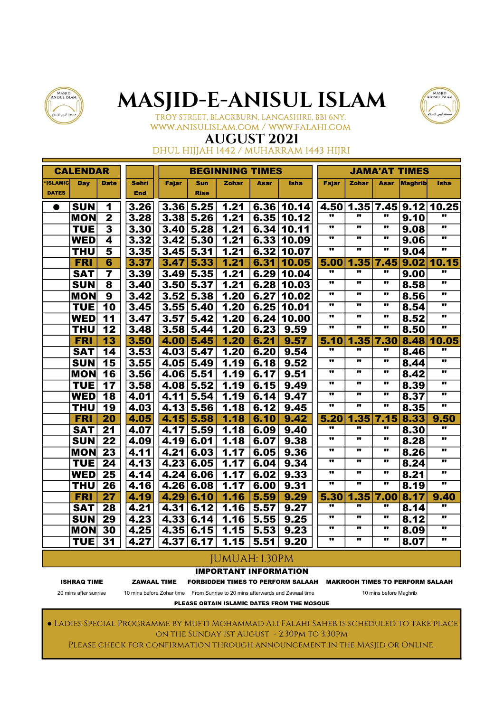



TROY STREET, BLACKBURN, LANCASHIRE, BB1 6NY. www.anisulislam.com / www.falahi.com

### AUGUST 2021

DHUL HIJJAH 1442 / MUHARRAM 1443 HIJRI

|                | <b>CALENDAR</b> |                         |              |       |             | <b>BEGINNING TIMES</b> |      |             |                         |                         |                         | <b>JAMA'AT TIMES</b> |                          |
|----------------|-----------------|-------------------------|--------------|-------|-------------|------------------------|------|-------------|-------------------------|-------------------------|-------------------------|----------------------|--------------------------|
| <b>ISLAMIC</b> | Day             | <b>Date</b>             | <b>Sehri</b> | Fajar | Sun         | <b>Zohar</b>           | Asar | <b>Isha</b> | <b>Fajar</b>            | <b>Zohar</b>            | Asar                    | <b>Maghrib</b>       | <b>Isha</b>              |
| <b>DATES</b>   |                 |                         | <b>End</b>   |       | <b>Rise</b> |                        |      |             |                         |                         |                         |                      |                          |
| $\bullet$      | <b>SUN</b>      | 1                       | 3.26         | 3.36  | 5.25        | 1.21                   |      | 6.36 10.14  | 4.50                    | 1.35                    |                         |                      | 7.45 9.12 10.25          |
|                | <b>MON</b>      | $\overline{\mathbf{2}}$ | 3.28         | 3.38  | 5.26        | 1.21                   | 6.35 | 10.12       | w                       |                         | w                       | 9.10                 |                          |
|                | <b>TUE</b>      | $\overline{\mathbf{3}}$ | 3.30         | 3.40  | 5.28        | 1.21                   | 6.34 | 10.11       | $\overline{\mathbf{u}}$ | $\overline{\mathbf{u}}$ | $\overline{\mathbf{u}}$ | 9.08                 | w                        |
|                | <b>WED</b>      | 4                       | 3.32         | 3.42  | 5.30        | 1.21                   | 6.33 | 10.09       |                         |                         |                         | 9.06                 | π                        |
|                | <b>THU</b>      | 5                       | 3.35         | 3.45  | 5.31        | 1.21                   | 6.32 | 10.07       | $\overline{\mathbf{u}}$ | $\overline{\mathbf{u}}$ | $\overline{\mathbf{u}}$ | 9.04                 | $\overline{\mathbf{u}}$  |
|                | <b>FRI</b>      | 6                       | 3.37         | 3.47  | 5.33        | 1.21                   | 6.31 | 10.05       | 5.00                    | 1.35                    | 7.45                    | 9.02                 | 10.15                    |
|                | <b>SAT</b>      | $\overline{\mathbf{r}}$ | 3.39         | 3.49  | 5.35        | 1.21                   | 6.29 | 10.04       | .,                      | .,                      | w                       | 9.00                 |                          |
|                | <b>SUN</b>      | 8                       | 3.40         | 3.50  | 5.37        | 1.21                   | 6.28 | 10.03       | π.                      |                         | π.                      | 8.58                 | $\overline{\mathbf{u}}$  |
|                | <b>MON</b>      | $\overline{\mathbf{9}}$ | 3.42         | 3.52  | 5.38        | 1.20                   | 6.27 | 10.02       |                         | $\bullet\bullet$        | π.                      | 8.56                 | π                        |
|                | <b>TUE</b>      | $\overline{10}$         | 3.45         | 3.55  | 5.40        | 1.20                   | 6.25 | 10.01       | $\overline{\mathbf{u}}$ | $\overline{\mathbf{u}}$ | $\overline{\mathbf{u}}$ | 8.54                 |                          |
|                | <b>WED</b>      | 11                      | 3.47         | 3.57  | 5.42        | 1.20                   | 6.24 | 10.00       | .,                      |                         |                         | 8.52                 | .,                       |
|                | <b>THU</b>      | 12                      | 3.48         | 3.58  | 5.44        | 1.20                   | 6.23 | 9.59        | π                       | .,                      | .,                      | 8.50                 | w                        |
|                | <b>FRI</b>      | 13                      | 3.50         | 4.00  | 5.45        | 1.20                   | 6.21 | 9.57        | 5.10                    | 1.35                    | 7.30                    | 8.48                 | 10.05                    |
|                | <b>SAT</b>      | 14                      | 3.53         | 4.03  | 5.47        | 1.20                   | 6.20 | 9.54        | π                       |                         | .,                      | 8.46                 | w                        |
|                | <b>SUN</b>      | 15                      | 3.55         | 4.05  | 5.49        | 1.19                   | 6.18 | 9.52        | w                       | $\overline{\mathbf{u}}$ | w                       | 8.44                 | w                        |
|                | <b>MON</b>      | 16                      | 3.56         | 4.06  | 5.51        | 1.19                   | 6.17 | 9.51        | .,                      | .,                      | $\overline{\mathbf{u}}$ | 8.42                 | π                        |
|                | <b>TUE</b>      | 17                      | 3.58         | 4.08  | 5.52        | 1.19                   | 6.15 | 9.49        |                         |                         | .,                      | 8.39                 | π.                       |
|                | <b>WED</b>      | 18                      | 4.01         | 4.11  | 5.54        | 1.19                   | 6.14 | 9.47        | .,                      | .,                      | .,                      | 8.37                 | ν.                       |
|                | <b>THU</b>      | 19                      | 4.03         | 4.13  | 5.56        | 1.18                   | 6.12 | 9.45        | w                       | w                       | w                       | 8.35                 | w                        |
|                | <b>FRI</b>      | $\overline{20}$         | 4.05         | 4.15  | 5.58        | 1.18                   | 6.10 | 9.42        | 5.20                    | 1.35                    | 7.15                    | 8.33                 | 9.50                     |
|                | <b>SAT</b>      | $\overline{21}$         | 4.07         | 4.17  | 5.59        | 1.18                   | 6.09 | 9.40        | $\overline{\mathbf{u}}$ | $\overline{\mathbf{u}}$ | $\overline{\mathbf{u}}$ | 8.30                 | w                        |
|                | <b>SUN</b>      | $\overline{22}$         | 4.09         | 4.19  | 6.01        | 1.18                   | 6.07 | 9.38        | π.                      | $\overline{\mathbf{u}}$ | w                       | 8.28                 | $\overline{\mathbf{u}}$  |
|                | <b>MON</b>      | $\overline{23}$         | 4.11         | 4.21  | 6.03        | 1.17                   | 6.05 | 9.36        |                         | $\bullet\bullet$        |                         | 8.26                 | $\overline{\mathbf{u}}$  |
|                | <b>TUE</b>      | $\overline{24}$         | 4.13         | 4.23  | 6.05        | 1.17                   | 6.04 | 9.34        | w                       | $\overline{\mathbf{u}}$ | w                       | 8.24                 | .,                       |
|                | <b>WED</b>      | $\overline{25}$         | 4.14         | 4.24  | 6.06        | 1.17                   | 6.02 | 9.33        | $\overline{\mathbf{u}}$ | $\overline{\mathbf{u}}$ | $\overline{\mathbf{u}}$ | 8.21                 | $\overline{\mathbf{u}}$  |
|                | <b>THU</b>      | 26                      | 4.16         | 4.26  | 6.08        | 1.17                   | 6.00 | 9.31        | π.                      | .,                      | π.                      | 8.19                 |                          |
|                | <b>FRI</b>      | 27                      | 4.19         | 4.29  | 6.10        | 1.16                   | 5.59 | 9.29        | 5.30                    | 1.35                    | 7.00                    | 8.17                 | 9.40                     |
|                | <b>SAT</b>      | 28                      | 4.21         | 4.31  | 6.12        | 1.16                   | 5.57 | 9.27        |                         |                         | 11                      | 8.14                 |                          |
|                | <b>SUN</b>      | 29                      | 4.23         | 4.33  | 6.14        | 1.16                   | 5.55 | 9.25        | $\overline{\mathbf{u}}$ | $\overline{\mathbf{u}}$ | $\overline{\mathbf{u}}$ | 8.12                 | $\overline{\phantom{a}}$ |
|                | <b>MON</b>      | 30                      | 4.25         | 4.35  | 6.15        | 1.15                   | 5.53 | 9.23        | $\overline{\mathbf{u}}$ | $\overline{\mathbf{u}}$ | .,                      | 8.09                 | w                        |
|                | <b>TUE</b>      | 31                      | 4.27         | 4.37  | 6.17        | 1.15                   | 5.51 | 9.20        | w                       | .,                      | π,                      | 8.07                 | 11                       |
|                |                 |                         |              |       |             | <b>JUMUAH: 1.30PM</b>  |      |             |                         |                         |                         |                      |                          |
|                |                 |                         |              |       |             |                        |      |             |                         |                         |                         |                      |                          |

#### IMPORTANT INFORMATION

ISHRAQ TIME ZAWAAL TIME FORBIDDEN TIMES TO PERFORM SALAAH MAKROOH TIMES TO PERFORM SALAAH

20 mins after sunrise 10 mins before Zohar time From Sunrise to 20 mins afterwards and Zawaal time 10 mins before Maghrib

PLEASE OBTAIN ISLAMIC DATES FROM THE MOSQUE

● Ladies Special Programme by Mufti Mohammad Ali Falahi Saheb is scheduled to take place on the Sunday 1st August - 2.30pm to 3.30pm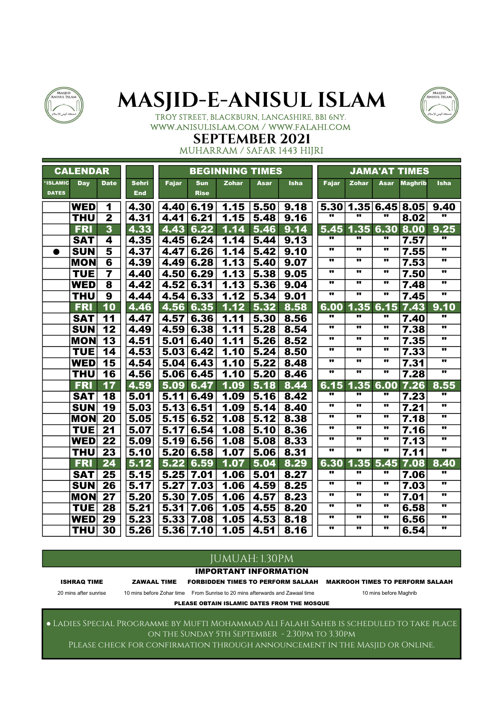



#### TROY STREET, BLACKBURN, LANCASHIRE, BB1 6NY. www.anisulislam.com / www.falahi.com

#### SEPTEMBER 2021 MUHARRAM / SAFAR 1443 HIJRI

|              | <b>CALENDAR</b> |                          |              |              |             | <b>BEGINNING TIMES</b> |      |             |                         |                  |      | <b>JAMA'AT TIMES</b> |             |
|--------------|-----------------|--------------------------|--------------|--------------|-------------|------------------------|------|-------------|-------------------------|------------------|------|----------------------|-------------|
| *ISLAMIC     | <b>Day</b>      | <b>Date</b>              | <b>Sehri</b> | <b>Fajar</b> | <b>Sun</b>  | <b>Zohar</b>           | Asar | <b>Isha</b> | <b>Fajar</b>            | <b>Zohar</b>     | Asar | <b>Maghrib</b>       | <b>Isha</b> |
| <b>DATES</b> |                 |                          | <b>End</b>   |              | <b>Rise</b> |                        |      |             |                         |                  |      |                      |             |
|              | <b>WED</b>      | 1                        | 4.30         | 4.40         | 6.19        | 1.15                   | 5.50 | 9.18        | 5.30                    | 1.35             | 6.45 | 8.05                 | 9.40        |
|              | <b>THU</b>      | $\overline{\mathbf{2}}$  | 4.31         | 4.41         | 6.21        | 1.15                   | 5.48 | 9.16        | $\overline{\mathbf{u}}$ | w                | w    | 8.02                 | π           |
|              | <b>FRI</b>      | $\overline{\mathbf{3}}$  | 4.33         | 4.43         | 6.22        | 1.14                   | 5.46 | 9.14        | 5.45                    | 1.35             | 6.30 | 8.00                 | 9.25        |
|              | <b>SAT</b>      | 4                        | 4.35         | 4.45         | 6.24        | 1.14                   | 5.44 | 9.13        | π.                      |                  | π,   | 7.57                 |             |
| $\bullet$    | <b>SUN</b>      | 5                        | 4.37         | 4.47         | 6.26        | 1.14                   | 5.42 | 9.10        |                         |                  |      | 7.55                 |             |
|              | <b>MON</b>      | $6\phantom{1}6$          | 4.39         | 4.49         | 6.28        | 1.13                   | 5.40 | 9.07        |                         |                  |      | 7.53                 |             |
|              | <b>TUE</b>      | $\overline{7}$           | 4.40         | 4.50         | 6.29        | 1.13                   | 5.38 | 9.05        |                         |                  |      | 7.50                 | ν.          |
|              | <b>WED</b>      | 8                        | 4.42         | 4.52         | 6.31        | 1.13                   | 5.36 | 9.04        |                         | $\bullet\bullet$ |      | 7.48                 |             |
|              | <b>THU</b>      | 9                        | 4.44         | 4.54         | 6.33        | 1.12                   | 5.34 | 9.01        | .,                      | $\bullet\bullet$ | π.   | 7.45                 | π.          |
|              | <b>FRI</b>      | 10                       | 4.46         | 4.56         | 6.35        | 1.12                   | 5.32 | 8.58        | 6.00                    | 1.35             | 6.15 | 7.43                 | 9.10        |
|              | <b>SAT</b>      | 11                       | 4.47         | 4.57         | 6.36        | 1.11                   | 5.30 | 8.56        | π.                      | .,               |      | 7.40                 |             |
|              | <b>SUN</b>      | 12                       | 4.49         | 4.59         | 6.38        | 1.11                   | 5.28 | 8.54        |                         | $\bullet\bullet$ | .,   | 7.38                 |             |
|              | <b>MON</b>      | 13                       | 4.51         | 5.01         | 6.40        | 1.11                   | 5.26 | 8.52        |                         |                  |      | 7.35                 | .,          |
|              | <b>TUE</b>      | 14                       | 4.53         | 5.03         | 6.42        | 1.10                   | 5.24 | 8.50        | .,                      | $\bullet$        | .,   | 7.33                 | π.          |
|              | <b>WED</b>      | $\overline{\mathbf{15}}$ | 4.54         | 5.04         | 6.43        | 1.10                   | 5.22 | 8.48        |                         |                  |      | 7.31                 |             |
|              | <b>THU</b>      | 16                       | 4.56         | 5.06         | 6.45        | 1.10                   | 5.20 | 8.46        |                         |                  |      | 7.28                 | ν.          |
|              | <b>FRI</b>      | 17                       | 4.59         | 5.09         | 6.47        | 1.09                   | 5.18 | 8.44        | 6.15                    | 1.35             | 6.00 | 7.26                 | 8.55        |
|              | <b>SAT</b>      | 18                       | 5.01         | 5.11         | 6.49        | 1.09                   | 5.16 | 8.42        | .,                      |                  | .,   | 7.23                 | w           |
|              | <b>SUN</b>      | 19                       | 5.03         | 5.13         | 6.51        | 1.09                   | 5.14 | 8.40        | .,                      | $\bullet\bullet$ | w    | 7.21                 | w           |
|              | <b>MON</b>      | $\overline{20}$          | 5.05         | 5.15         | 6.52        | 1.08                   | 5.12 | 8.38        |                         |                  | .,   | 7.18                 | w           |
|              | <b>TUE</b>      | 21                       | 5.07         | 5.17         | 6.54        | 1.08                   | 5.10 | 8.36        |                         |                  |      | 7.16                 | .,          |
|              | <b>WED</b>      | 22                       | 5.09         | 5.19         | 6.56        | 1.08                   | 5.08 | 8.33        |                         |                  |      | 7.13                 |             |
|              | <b>THU</b>      | $\overline{23}$          | 5.10         | 5.20         | 6.58        | 1.07                   | 5.06 | 8.31        | .,                      | .,               | .,   | 7.11                 | ν.          |
|              | <b>FRI</b>      | 24                       | 5.12         | 5.22         | 6.59        | 1.07                   | 5.04 | 8.29        | 6.30                    | 1.35             | 5.45 | 7.08                 | 8.40        |
|              | <b>SAT</b>      | 25                       | 5.15         | 5.25         | 7.01        | 1.06                   | 5.01 | 8.27        |                         | π.               | 11   | 7.06                 |             |
|              | <b>SUN</b>      | 26                       | 5.17         | 5.27         | 7.03        | 1.06                   | 4.59 | 8.25        | .,                      |                  |      | 7.03                 |             |
|              | <b>MON</b>      | 27                       | 5.20         | 5.30         | 7.05        | 1.06                   | 4.57 | 8.23        |                         |                  |      | 7.01                 |             |
|              | <b>TUE</b>      | 28                       | 5.21         | 5.31         | 7.06        | 1.05                   | 4.55 | 8.20        | .,                      | $\bullet\bullet$ | .,   | 6.58                 | ν.          |
|              | <b>WED</b>      | 29                       | 5.23         | 5.33         | 7.08        | 1.05                   | 4.53 | 8.18        |                         |                  |      | 6.56                 | π.          |
|              | <b>THU</b>      | $\overline{30}$          | 5.26         | 5.36         | 7.10        | 1.05                   | 4.51 | 8.16        | π                       |                  | .,   | 6.54                 | π           |

### JUMUAH: 1.30PM

IMPORTANT INFORMATION

ISHRAQ TIME ZAWAAL TIME FORBIDDEN TIMES TO PERFORM SALAAH MAKROOH TIMES TO PERFORM SALAAH

20 mins after sunrise 10 mins before Zohar time From Sunrise to 20 mins afterwards and Zawaal time 10 mins before Maghrib

PLEASE OBTAIN ISLAMIC DATES FROM THE MOSQUE

● Ladies Special Programme by Mufti Mohammad Ali Falahi Saheb is scheduled to take place on the Sunday 5th September - 2.30pm to 3.30pm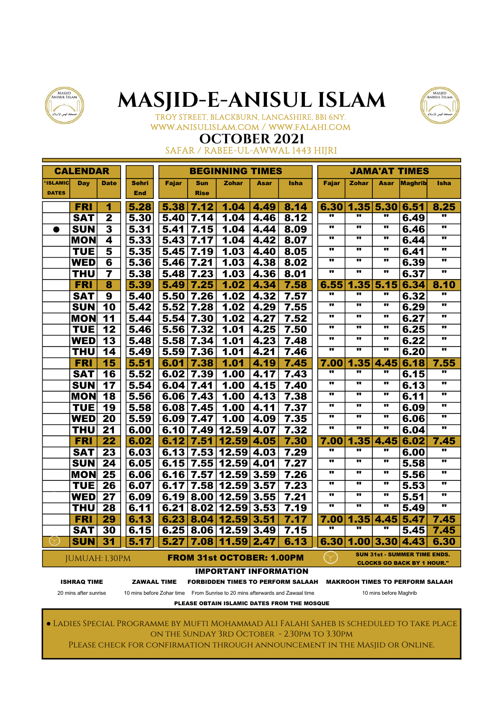



#### TROY STREET, BLACKBURN, LANCASHIRE, BB1 6NY. www.anisulislam.com / www.falahi.com

## OCTOBER 2021

SAFAR / RABEE-UL-AWWAL 1443 HIJRI

|                | <b>CALENDAR</b>       |                          |                    |       |             | <b>BEGINNING TIMES</b>           |             |                                                                              |                         |                          |                         | JAMA'AT TIMES                                                            |                         |
|----------------|-----------------------|--------------------------|--------------------|-------|-------------|----------------------------------|-------------|------------------------------------------------------------------------------|-------------------------|--------------------------|-------------------------|--------------------------------------------------------------------------|-------------------------|
| <b>ISLAMIC</b> | Day                   | <b>Date</b>              | <b>Sehri</b>       | Fajar | Sun         | <b>Zohar</b>                     | <b>Asar</b> | <b>Isha</b>                                                                  | <b>Fajar</b>            | <b>Zohar</b>             | <b>Asar</b>             | <b>Maghrib</b>                                                           | Isha                    |
| <b>DATES</b>   |                       |                          | <b>End</b>         |       | <b>Rise</b> |                                  |             |                                                                              |                         |                          |                         |                                                                          |                         |
|                | FRI                   | 1                        | 5.28               | 5.38  | 7.12        | 1.04                             | 4.49        | 8.14                                                                         | 6.30                    | 1.35                     | 5.30                    | 6.51                                                                     | 8.25                    |
|                | <b>SAT</b>            | $\overline{2}$           | 5,30               | 5.40  | 7.14        | 1.04                             | 4.46        | 8.12                                                                         | w                       | w                        | $\bullet$               | 6.49                                                                     | w                       |
| $\bullet$      | <b>SUN</b>            | $\overline{\mathbf{3}}$  | 5.31               | 5.41  | 7.15        | 1.04                             | 4.44        | 8.09                                                                         | $\overline{\mathbf{u}}$ |                          | $\bullet\bullet$        | 6.46                                                                     | w                       |
|                | <b>MON</b>            | 4                        | 5.33               | 5.43  | 7.17        | 1.04                             | 4.42        | 8.07                                                                         |                         | $\bullet$                |                         | 6.44                                                                     |                         |
|                | <b>TUE</b>            | 5                        | 5.35               | 5.45  | 7.19        | 1.03                             | 4.40        | 8.05                                                                         |                         |                          |                         | 6.41                                                                     | π.                      |
|                | <b>WED</b>            | 6                        | 5.36               | 5.46  | 7.21        | 1.03                             | 4.38        | 8.02                                                                         |                         |                          |                         | 6.39                                                                     |                         |
|                | <b>THU</b>            | $\overline{\mathbf{7}}$  | 5.38               | 5.48  | 7.23        | 1.03                             | 4.36        | 8.01                                                                         | .,                      |                          | .,                      | 6.37                                                                     | .,                      |
|                | <b>FRI</b>            | 8                        | 5.39               | 5.49  | 7.25        | 1.02                             | 4.34        | 7.58                                                                         | 6.55                    | 1.35                     | 5.15                    | 6.34                                                                     | 8.10                    |
|                | <b>SAT</b>            | $\overline{9}$           | 5.40               | 5.50  | 7.26        | 1.02                             | 4.32        | 7.57                                                                         | w                       | π.                       | $\overline{\mathbf{u}}$ | 6.32                                                                     |                         |
|                | <b>SUN</b>            | $\overline{10}$          | 5.42               | 5.52  | 7.28        | 1.02                             | 4.29        | 7.55                                                                         | w                       |                          | $\overline{\mathbf{u}}$ | 6.29                                                                     | w                       |
|                | <b>MON</b>            | 11                       | 5.44               | 5.54  | 7.30        | 1.02                             | 4.27        | 7.52                                                                         | $\overline{\mathbf{u}}$ | $\overline{\mathbf{u}}$  | $\overline{\mathbf{u}}$ | 6.27                                                                     | $\overline{\mathbf{u}}$ |
|                | <b>TUE</b>            | 12                       | 5.46               | 5.56  | 7.32        | 1.01                             | 4.25        | 7.50                                                                         |                         |                          | .,                      | 6.25                                                                     |                         |
|                | <b>WED</b>            | 13                       | 5.48               | 5.58  | 7.34        | 1.01                             | 4.23        | 7.48                                                                         |                         |                          |                         | 6.22                                                                     |                         |
|                | THU                   | 14                       | 5.49               | 5.59  | 7.36        | 1.01                             | 4.21        | 7.46                                                                         | $\overline{\mathbf{u}}$ |                          | $\overline{\mathbf{u}}$ | 6.20                                                                     | w                       |
|                | <b>FRI</b>            | $\overline{\mathbf{15}}$ | 5.51               | 6.01  | 7.38        | 1.01                             | 4.19        | 7.45                                                                         | 7.00                    | 1.35                     | 4.45                    | 6.18                                                                     | 7.55                    |
|                | <b>SAT</b>            | 16                       | 5.52               | 6.02  | 7.39        | 1.00                             | 4.17        | 7.43                                                                         |                         |                          |                         | 6.15                                                                     |                         |
|                | <b>SUN</b>            | 17                       | 5.54               | 6.04  | 7.41        | 1.00                             | 4.15        | 7.40                                                                         |                         |                          |                         | 6.13                                                                     |                         |
|                | <b>MON</b>            | 18                       | 5.56               | 6.06  | 7.43        | 1.00                             | 4.13        | 7.38                                                                         | $\bullet$               |                          | $\bullet\bullet$        | 6.11                                                                     |                         |
|                | <b>TUE</b>            | 19                       | 5.58               | 6.08  | 7.45        | 1.00                             | 4.11        | 7.37                                                                         | w                       |                          | $\bullet$               | 6.09                                                                     | w                       |
|                | <b>WED</b>            | 20                       | 5.59               | 6.09  | 7.47        | 1.00                             | 4.09        | 7.35                                                                         | $\overline{\mathbf{u}}$ |                          | $\overline{\mathbf{u}}$ | 6.06                                                                     |                         |
|                | <b>THU</b>            | 21                       | 6.00               | 6.10  | 7.49        | 12.59                            | 4.07        | 7.32                                                                         |                         |                          | .,                      | 6.04                                                                     |                         |
|                | FRI                   | 22                       | 6.02               | 6.12  | 7.51        | 12.59                            | 4.05        | 7.30                                                                         | 7.00                    | 1.35                     | 4.45                    | 6.02                                                                     | 7.45                    |
|                | <b>SAT</b>            | 23                       | 6.03               | 6.13  | 7.53        | 12.59                            | 4.03        | 7.29                                                                         | $\overline{\mathbf{u}}$ |                          | $\bullet$               | 6.00                                                                     |                         |
|                | <b>SUN</b>            | 24                       | 6.05               | 6.15  | 7.55        | 12.59                            | 4.01        | 7.27                                                                         | w                       | w                        | $\overline{\mathbf{u}}$ | 5.58                                                                     | w                       |
|                | <b>MON</b>            | 25                       | 6.06               | 6.16  | 7.57        | 12.59                            | 3.59        | 7.26                                                                         | $\overline{\mathbf{u}}$ | $\overline{\phantom{a}}$ | $\overline{\mathbf{u}}$ | 5.56                                                                     |                         |
|                | <b>TUE</b>            | 26                       | 6.07               | 6.17  | 7.58        | 12.59                            | 3.57        | 7.23                                                                         |                         |                          |                         | 5.53                                                                     |                         |
|                | <b>WED</b>            | $\overline{\mathbf{27}}$ | 6.09               | 6.19  | 8.00        | 12.59                            | 3.55        | 7.21                                                                         | $\bullet$               |                          | $\bullet\bullet$        | 5.51                                                                     |                         |
|                | THU                   | 28                       | 6.11               | 6.21  | 8.02        | 12.59                            | 3.53        | 7.19                                                                         | $\overline{\mathbf{u}}$ | $\bullet$                | $\bullet$               | 5.49                                                                     |                         |
|                | <b>FRI</b>            | 29                       | 6.13               | 6.23  | 8.04        | 12.59                            | 3.51        | 7.17                                                                         | 7.00                    | 1.35                     | 4.45                    | 5.47                                                                     | 7.45                    |
|                | <b>SAT</b>            | 30                       | 6.15               | 6.25  | 8.06        | 12.59                            | 3.49        | 7.15                                                                         | $\overline{\mathbf{u}}$ | $\overline{\mathbf{u}}$  | $\overline{\mathbf{u}}$ | 5.45                                                                     | 7.45                    |
| $(\times)$     | <b>SUN</b>            | 31                       | 5.17               | 5.27  | 7.08        | 11.59                            | 2.47        | 6.13                                                                         | 6.30                    |                          | 1.00 3.30               | 4.43                                                                     | 6.30                    |
|                | <b>JUMUAH: 1.30PM</b> |                          |                    |       |             | <b>FROM 31st OCTOBER: 1.00PM</b> |             |                                                                              |                         |                          |                         | <b>SUN 31st - SUMMER TIME ENDS.</b><br><b>CLOCKS GO BACK BY 1 HOUR."</b> |                         |
|                |                       |                          |                    |       |             | <b>IMPORTANT INFORMATION</b>     |             |                                                                              |                         |                          |                         |                                                                          |                         |
|                | <b>ISHRAQ TIME</b>    |                          | <b>ZAWAAL TIME</b> |       |             |                                  |             | <b>FORBIDDEN TIMES TO PERFORM SALAAH</b>                                     |                         |                          |                         | <b>MAKROOH TIMES TO PERFORM SALAAH</b>                                   |                         |
|                | 20 mins after sunrise |                          |                    |       |             |                                  |             | 10 mins before Zohar time From Sunrise to 20 mins afterwards and Zawaal time |                         |                          | 10 mins before Maghrib  |                                                                          |                         |
|                |                       |                          |                    |       |             |                                  |             | PLEASE OBTAIN ISLAMIC DATES FROM THE MOSQUE                                  |                         |                          |                         |                                                                          |                         |

● Ladies Special Programme by Mufti Mohammad Ali Falahi Saheb is scheduled to take place on the Sunday 3rd October - 2.30pm to 3.30pm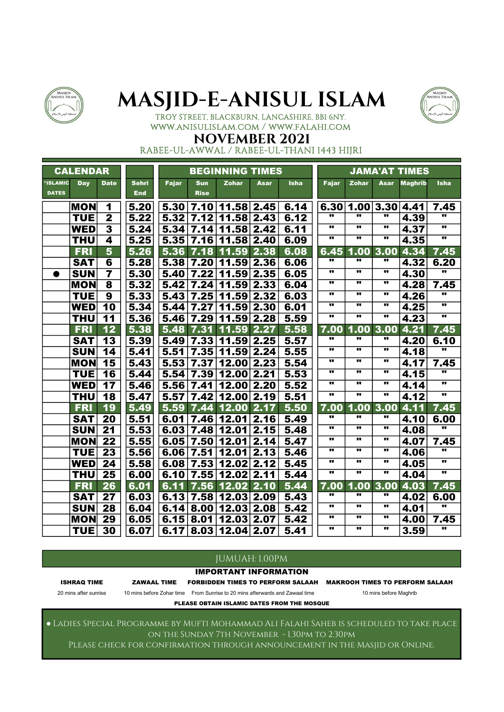



TROY STREET, BLACKBURN, LANCASHIRE, BB1 6NY. www.anisulislam.com / www.falahi.com

### NOVEMBER 2021

RABEE-UL-AWWAL / RABEE-UL-THANI 1443 HIJRI

|                          | <b>CALENDAR</b> |                         |                            |              |                           | <b>BEGINNING TIMES</b> |      |             |                         |                         |                         | <b>JAMA'AT TIMES</b> |                          |
|--------------------------|-----------------|-------------------------|----------------------------|--------------|---------------------------|------------------------|------|-------------|-------------------------|-------------------------|-------------------------|----------------------|--------------------------|
| *ISLAMIC<br><b>DATES</b> | <b>Day</b>      | <b>Date</b>             | <b>Sehri</b><br><b>End</b> | <b>Fajar</b> | <b>Sun</b><br><b>Rise</b> | Zohar                  | Asar | <b>Isha</b> | <b>Fajar</b>            | <b>Zohar</b>            | Asar                    | <b>Maghrib</b>       | <b>Isha</b>              |
|                          | <b>MON</b>      | 1                       | 5.20                       | 5.30         |                           | 7.10 11.58 2.45        |      | 6.14        |                         | 6.30 1.00 3.30 4.41     |                         |                      | 7.45                     |
|                          | <b>TUE</b>      | $\mathbf{2}$            | 5.22                       | 5.32         |                           | 7.12 11.58 2.43        |      | 6.12        |                         |                         |                         | 4.39                 |                          |
|                          | <b>WED</b>      | $\overline{\mathbf{3}}$ | 5.24                       | 5.34         | 7.14                      | 11.58                  | 2.42 | 6.11        | $\bullet$               | $\bullet$               | $\bullet$               | 4.37                 | π.                       |
|                          | <b>THU</b>      | 4                       | 5.25                       | 5.35         | 7.16                      | 11.58                  | 2.40 | 6.09        | w                       | w                       | w                       | 4.35                 | w                        |
|                          | <b>FRI</b>      | 5                       | 5.26                       | 5.36         | 7.18                      | 11.59                  | 2.38 | 6.08        | 6.45                    | 1.00                    | 3.00                    | 4.34                 | 7.45                     |
|                          | <b>SAT</b>      | 6                       | 5.28                       |              | 5.38 7.20                 | $11.59$ 2.36           |      | 6.06        |                         |                         | .,                      | 4.32                 | 6.20                     |
| $\bullet$                | <b>SUN</b>      | $\overline{7}$          | 5.30                       | 5.40         | 7.22                      | 11.59                  | 2.35 | 6.05        |                         | $\bullet$               | .,                      | 4.30                 |                          |
|                          | <b>MON</b>      | $\overline{\mathbf{8}}$ | 5.32                       | 5.42         | 7.24                      | 11.59                  | 2.33 | 6.04        |                         | $\bullet$               |                         | 4.28                 | 7.45                     |
|                          | <b>TUE</b>      | $\overline{\mathbf{9}}$ | 5.33                       | 5.43         | 7.25                      | 11.59                  | 2.32 | 6.03        | $\overline{\mathbf{u}}$ | $\overline{\mathbf{u}}$ | $\overline{\mathbf{u}}$ | 4.26                 |                          |
|                          | <b>WED</b>      | 10                      | 5.34                       | 5.44         | 7.27                      | 11.59                  | 2.30 | 6.01        |                         |                         |                         | 4.25                 |                          |
|                          | <b>THU</b>      | 11                      | 5.36                       | 5.46         | 7.29                      | 11.59                  | 2.28 | 5.59        | .,                      |                         | .,                      | 4.23                 | .,                       |
|                          | <b>FRI</b>      | 12                      | 5.38                       | 5.48         | 7.31                      | 11.59                  | 2.27 | 5.58        | 7.00                    | 1.00                    | 3.00                    | 4.21                 | 7.45                     |
|                          | <b>SAT</b>      | 13                      | 5.39                       | 5.49         | 7.33                      | 11.59                  | 2.25 | 5.57        |                         |                         | .,                      | 4.20                 | 6.10                     |
|                          | <b>SUN</b>      | 14                      | 5.41                       | 5.51         |                           | 7.35 11.59 2.24        |      | 5.55        |                         |                         |                         | 4.18                 | $\overline{\mathbf{u}}$  |
|                          | <b>MON</b>      | 15                      | 5.43                       | 5.53         | 7.37                      | 12.00                  | 2.23 | 5.54        |                         |                         |                         | 4.17                 | 7.45                     |
|                          | <b>TUE</b>      | 16                      | 5.44                       | 5.54         | 7.39                      | 12.00                  | 2.21 | 5.53        |                         |                         |                         | 4.15                 | $\overline{\mathbf{u}}$  |
|                          | <b>WED</b>      | 17                      | 5.46                       | 5.56         | 7.41                      | 12.00                  | 2.20 | 5.52        |                         |                         |                         | 4.14                 |                          |
|                          | <b>THU</b>      | 18                      | 5.47                       | 5.57         | 7.42                      | 12.00 2.19             |      | 5.51        | w                       | $\overline{\mathbf{u}}$ | w                       | 4.12                 |                          |
|                          | <b>FRI</b>      | 19                      | 5.49                       | 5.59         |                           | 7.44 12.00             | 2.17 | 5.50        | 7.00                    | 1.00                    | 3.00                    | 4.11                 | 7.45                     |
|                          | <b>SAT</b>      | 20                      | 5.51                       | 6.01         | 7.46                      | 12.01                  | 2.16 | 5.49        |                         |                         |                         | 4.10                 | 6.00                     |
|                          | <b>SUN</b>      | 21                      | 5.53                       | 6.03         | 7.48                      | 12.01                  | 2.15 | 5.48        |                         | $\bullet\bullet$        |                         | 4.08                 |                          |
|                          | <b>MON</b>      | 22                      | 5.55                       | 6.05         | 7.50                      | 12.01                  | 2.14 | 5.47        |                         | $\bullet$               | .,                      | 4.07                 | 7.45                     |
|                          | <b>TUE</b>      | 23                      | 5.56                       | 6.06         | 7.51                      | 12.01                  | 2.13 | 5.46        |                         |                         |                         | 4.06                 | .,                       |
|                          | <b>WED</b>      | 24                      | 5.58                       | 6.08         | 7.53                      | 12.02                  | 2.12 | 5.45        |                         |                         |                         | 4.05                 | $\overline{\phantom{a}}$ |
|                          | <b>THU</b>      | 25                      | 6.00                       | 6.10         | 7.55                      | 12.02                  | 2.11 | 5.44        |                         |                         |                         | 4.04                 |                          |
|                          | <b>FRI</b>      | 26                      | 6.01                       | 6.11         | 7.56                      | 12.02                  | 2.10 | 5.44        | 7.00                    | 1.00                    | 3.00                    | 4.03                 | 7.45                     |
|                          | <b>SAT</b>      | $\overline{27}$         | 6.03                       | 6.13         | 7.58                      | 12.03 2.09             |      | 5.43        | w                       |                         | w                       | 4.02                 | 6.00                     |
|                          | <b>SUN</b>      | $\overline{28}$         | 6.04                       | 6.14         | 8.00                      | 12.03                  | 2.08 | 5.42        |                         | $\overline{\mathbf{u}}$ |                         | 4.01                 | $\overline{\mathbf{u}}$  |
|                          | <b>MON</b>      | 29                      | 6.05                       | 6.15         | 8.01                      | 12.03 2.07             |      | 5.42        |                         | $\bullet\bullet$        | .,                      | 4.00                 | 7.45                     |
|                          | <b>TUE</b>      | $\overline{30}$         | 6.07                       | 6.17         |                           | $8.03$ 12.04 2.07      |      | 5.41        |                         | .,                      |                         | 3.59                 | $\overline{\phantom{a}}$ |

#### JUMUAH: 1.00PM

#### IMPORTANT INFORMATION

ISHRAQ TIME ZAWAAL TIME FORBIDDEN TIMES TO PERFORM SALAAH MAKROOH TIMES TO PERFORM SALAAH

20 mins after sunrise 10 mins before Zohar time From Sunrise to 20 mins afterwards and Zawaal time 10 mins before Maghrib

PLEASE OBTAIN ISLAMIC DATES FROM THE MOSQUE

● Ladies Special Programme by Mufti Mohammad Ali Falahi Saheb is scheduled to take place on the Sunday 7th November - 1.30pm to 2.30pm